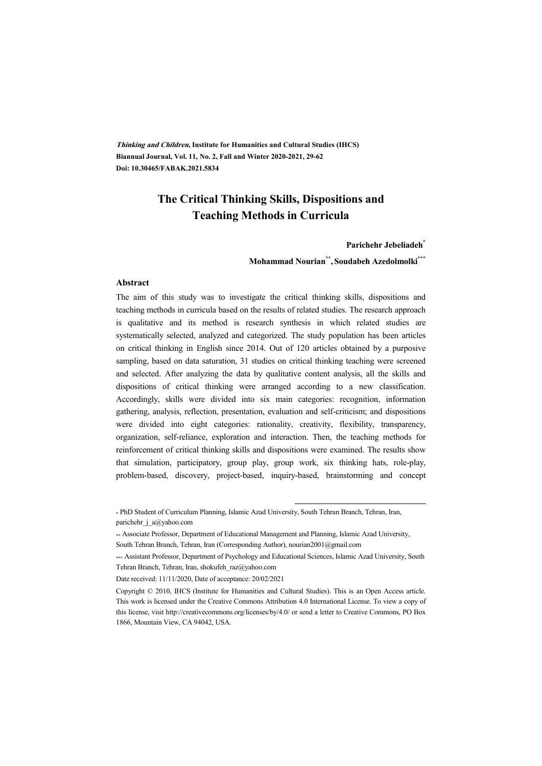**Thinking and Children, Institute for Humanities and Cultural Studies (IHCS) Biannual Journal, Vol. 11, No. 2, Fall and Winter 2020-2021, 29-62 Doi: 10.30465/FABAK.2021.5834** 

### **The Critical Thinking Skills, Dispositions and Teaching Methods in Curricula**

#### **Parichehr Jebeliadeh\***

**Mohammad Nourian\*\* , Soudabeh Azedolmolki\*\*\***

#### **Abstract**

The aim of this study was to investigate the critical thinking skills, dispositions and teaching methods in curricula based on the results of related studies. The research approach is qualitative and its method is research synthesis in which related studies are systematically selected, analyzed and categorized. The study population has been articles on critical thinking in English since 2014. Out of 120 articles obtained by a purposive sampling, based on data saturation, 31 studies on critical thinking teaching were screened and selected. After analyzing the data by qualitative content analysis, all the skills and dispositions of critical thinking were arranged according to a new classification. Accordingly, skills were divided into six main categories: recognition, information gathering, analysis, reflection, presentation, evaluation and self-criticism; and dispositions were divided into eight categories: rationality, creativity, flexibility, transparency, organization, self-reliance, exploration and interaction. Then, the teaching methods for reinforcement of critical thinking skills and dispositions were examined. The results show that simulation, participatory, group play, group work, six thinking hats, role-play, problem-based, discovery, project-based, inquiry-based, brainstorming and concept

:

<sup>\*</sup> PhD Student of Curriculum Planning, Islamic Azad University, South Tehran Branch, Tehran, Iran, parichehr\_j\_a@yahoo.com

<sup>\*\*</sup> Associate Professor, Department of Educational Management and Planning, Islamic Azad University, South Tehran Branch, Tehran, Iran (Corresponding Author), nourian2001@gmail.com

<sup>\*\*\*</sup> Assistant Professor, Department of Psychology and Educational Sciences, Islamic Azad University, South Tehran Branch, Tehran, Iran, shokufeh\_raz@yahoo.com

Date received: 11/11/2020, Date of acceptance: 20/02/2021

Copyright © 2010, IHCS (Institute for Humanities and Cultural Studies). This is an Open Access article. This work is licensed under the Creative Commons Attribution 4.0 International License. To view a copy of this license, visit http://creativecommons.org/licenses/by/4.0/ or send a letter to Creative Commons, PO Box 1866, Mountain View, CA 94042, USA.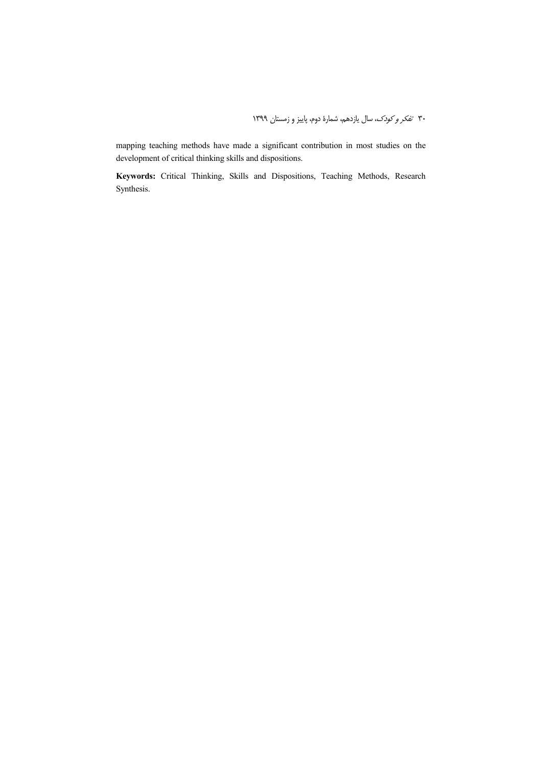mapping teaching methods have made a significant contribution in most studies on the development of critical thinking skills and dispositions.

**Keywords:** Critical Thinking, Skills and Dispositions, Teaching Methods, Research Synthesis.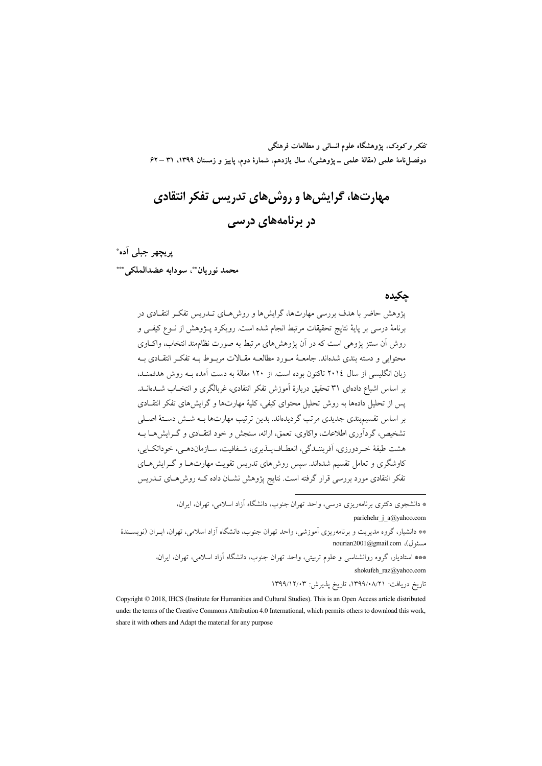تفکر و کودک، پژوهشگاه علوم انسانی و مطالعات فرهنگی دوفصل نامة علمي (مقالة علمي \_ يژوهشي)، سال يازدهم، شمارة دوم، ياييز و زمستان ١٣٩٩، ٣١ –۶۲

# مهارتها، گرایش ها و روش های تدریس تفکر انتقادی در برنامههای درس*ی*

يريجهر جبلي آده\*

محمد نور بان ُ سودابه عضدالملکي \*\*\*

### چکیده

یژوهش حاضر با هدف بررسی مهارتها، گرایشها و روش هـای تــدریس تفکـر انتقــادی در برنامهٔ درسی بر پایهٔ نتایج تحقیقات مرتبط انجام شده است. رویکرد پـژوهش از نـوع کیفـی و روش أن ستتز پژوهی است که در اَن پژوهش های مرتبط به صورت نظامهند انتخاب، واکباوی محتوایی و دسته بندی شدهاند. جامعـهٔ مـورد مطالعـه مقـالات مربـوط بـه تفکـر انتقـادی بـه زبان انگلیسی از سال ۲۰۱٤ تاکنون بوده است. از ۱۲۰ مقالهٔ به دست آمده بــه روش هدفمنــد، بر اساس اشباع دادهای ۳۱ تحقیق دربارهٔ آموزش تفکر انتقادی، غربالگری و انتخـاب شــدهانــد. پس از تحلیل دادهها به روش تحلیل محتوای کیفی، کلیهٔ مهارتها و گرایش های تفکر انتقـادی بر اساس تقسیم بندی جدیدی مرتب گردیدهاند. بدین ترتیب مهارتها بــه شــش دسـتهٔ اصــلی تشخیص، گردآوری اطلاعات، واکاوی، تعمق، ارائه، سنجش و خود انتقبادی و گیرایش هیا سه هشت طبقهٔ خـر دورزي، اَفريننـدگي، انعطـاف1يـذيري، شـفافيت، سـازماندهـي، خوداتكـايي، کاوشگری و تعامل تقسیم شدهاند. سپس روش های تدریس تقویت مهارتهــا و گــرایش هــای تفکر انتقادی مورد بررسی قرار گرفته است. نتایج پژوهش نشـان داده کــه روش۵حای تــدریس

> \* دانشجوی دکتری برنامهریزی درسی، واحد تهران جنوب، دانشگاه آزاد اسلامی، تهران، ایران، parichehr\_j\_a@yahoo.com

\*\* دانشیار، گروه مدیریت و برنامەریزی آموزشی، واحد تهران جنوب، دانشگاه آزاد اسلامی، تهران، ایـران (نویســندهٔ nourian2001@gmail.com ،(مسئول

> \*\*\* استادیار، گروه روانشناسی و علوم تربیتی، واحد تهران جنوب، دانشگاه آزاد اسلامی، تهران، ایران، shokufeh\_raz@yahoo.com

> > تاریخ دریافت: ۰۸/۲۱/۱۳۹۹/۰۸/۲۱، تاریخ پذیرش: ۱۳۹۹/۱۲/۰۳

Copyright © 2018, IHCS (Institute for Humanities and Cultural Studies). This is an Open Access article distributed under the terms of the Creative Commons Attribution 4.0 International, which permits others to download this work, share it with others and Adapt the material for any purpose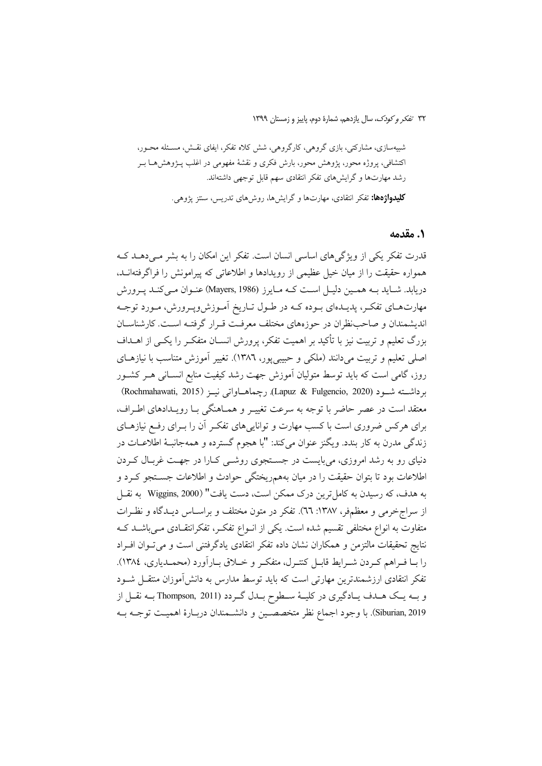شبیهسازی، مشارکتی، بازی گروهی، کارگروهی، شش کلاه تفکر، ایفای نقـش، مسـئله محـور، اکتشافی، پروژه محور، پژوهش محور، بارش فکری و نقشهٔ مفهومی در اغلب پــژوهش۱مــا بــر رشد مهارتها و گرایشهای تفکر انتقادی سهم قابل توجهی داشتهاند.

**کلیدواژهها:** تفکر انتقادی، مهارتها و گرایشها، روشهای تدریس، سنتز یژوهی.

### 1. مقدمه

قدرت تفکر یکی از ویژگی های اساسی انسان است. تفکر این امکان را به بشر مبی دهــد کــه همواره حقیقت را از میان خیل عظیمی از رویدادها و اطلاعاتی که پیرامونش را فراگرفتهانــد، دریابد. شباید بـه هممین دلیـل اسـت کـه مـایرز (Mayers, 1986) عنـوان مـى کنـد پـرورش مهارتهای تفکر، پدیـدهای بـوده کـه در طـول تـاریخ اَمـوزشوپـرورش، مـورد توجـه اندیشمندان و صاحب نظران در حوزههای مختلف معرفت قبرار گرفتـه اسـت. کارشناسـان بزرگ تعلیم و تربیت نیز با تأکید بر اهمیت تفکر، پرورش انســان متفکــر را یکــی از اهــداف اصلي تعليم و تربيت مي<انند (ملكي و حبيبي يور، ١٣٨٦). تغيير آموزش متناسب با نيازهـاي روز، گامی است که باید توسط متولیان آموزش جهت رشد کیفیت منابع انسـانی هـر کشـور برداشته شـود (Lapuz & Fulgencio, 2020). رچماهـاواتی نیـز (Rochmahawati, 2015) معتقد است در عصر حاضر با توجه به سرعت تغییـر و همـاهنگی بـا رویـدادهای اطـراف، برای هرکس ضروری است با کسب مهارت و تواناییهای تفکـر آن را بـرای رفـع نیازهـای زندگی مدرن به کار بندد. ویگنز عنوان می کند: "با هجوم گسترده و همهجانبهٔ اطلاعــات در دنیای رو به رشد امروزی، می بایست در جستجوی روشبی کـارا در جهـت غربـال کـردن اطلاعات بود تا بتوان حقیقت را در میان بههمریختگی حوادث و اطلاعات جســتجو کــرد و به هدف، كه رسيدن به كامل ترين درك ممكن است، دست يافت" (Wiggins, 2000 به نقــل از سراج خرمی و معظمفر، ۱۳۸۷: ٦٦). تفکر در متون مختلف و براسـاس ديـدگاه و نظـرات متفاوت به انواع مختلفی تقسیم شده است. یکی از انـواع تفکـر، تفکرانتقـادی مـیباشــد کــه نتايج تحقيقات مالتزمن و همكاران نشان داده تفكر انتقادى يادگرفتنى است و مى توان افـراد را بـا فـراهم كـردن شـرايط قابـل كنتـرل، متفكـر و خـلاق بـاراَورد (محمـدياري، ١٣٨٤). تفکر انتقادی ارزشمندترین مهارتی است که باید توسط مدارس به دانش[موزان منتقــل شــود و بــه يــک هــدف يــادگيري در کليــهٔ ســطوح بــدل گــردد (Thompson, 2011 بــه نقــل از Siburian, 2019). با وجود اجماع نظر متخصصين و دانشـمندان دربـارهٔ اهميـت توجـه بـه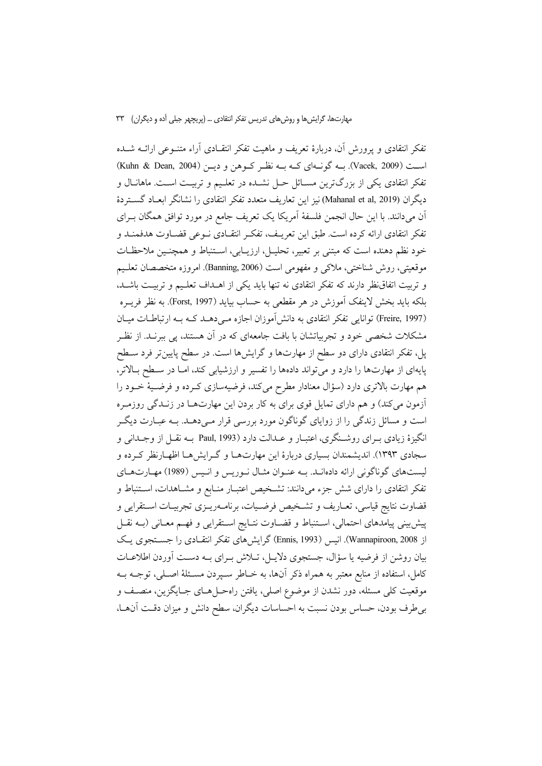تفکر انتقادی و یرورش آن، دربارهٔ تعریف و ماهیت تفکر انتقـادی آراء متنــوعی ارائــه شـــده است (Vacek, 2009). بــه گونــهاي كــه بــه نظــر كــوهن و ديــن (Kuhn & Dean, 2004) تفکر انتقادی یکی از بزرگترین مسـائل حـل نشـده در تعلـیم و تربیـت اسـت. ماهانـال و ديگران (Mahanal et al, 2019) نيز اين تعاريف متعدد تفكر انتقادي را نشانگر ابعـاد گســتردهٔ آن میدانند. با این حال انجمن فلسفهٔ آمریکا یک تعریف جامع در مورد توافق همگان بـرای تفكر انتقادي ارائه كرده است. طبق اين تعريـف، تفكـر انتقـادي نــوعي قضــاوت هدفمنــد و خود نظم دهنده است كه مبتنى بر تعبير، تحليـل، ارزيـابي، اسـتنباط و همچنـين ملاحظـات موقعيتي، روش شناختي، ملاكي و مفهومي است (Banning, 2006). امروزه متخصصان تعليم و تربیت اتفاق نظر دارند که تفکر انتقادی نه تنها باید یکی از اهـداف تعلـیم و تربیـت باشـد، بلكه بايد بخش لاينفك آموزش در هر مقطعي به حساب بيايد (Forst, 1997). به نظر فريــره (Freire, 1997) توانایی تفکر انتقادی به دانش آموزان اجازه مـیدهـد کـه بـه ارتباطـات میـان مشکلات شخصی خود و تجربیاتشان با بافت جامعهای که در آن هستند، پی ببرنــد. از نظـر پل، تفکر انتقادی دارای دو سطح از مهارتها و گرایشها است. در سطح پایین تر فرد سـطح پایهای از مهارتها را دارد و می تواند دادهها را تفسیر و ارزشیابی کند، امـا در سـطح بـالاتر، هم مهارت بالاتری دارد (سؤال معنادار مطرح میکند، فرضیهسازی کـرده و فرضـیهٔ خــود را آزمون میکند) و هم دارای تمایل قوی برای به کار بردن این مهارتها در زنـدگی روزمـره است و مسائل زندگی را از زوایای گوناگون مورد بررسی قرار مـی۵هــد. بــه عبــارت دیگــر انگیزهٔ زیادی بـرای روشـنگری، اعتبـار و عــدالت دارد (Paul, 1993 بــه نقــل از وجــدانی و سجادی ۱۳۹۳). اندیشمندان بسیاری دربارهٔ این مهارتهـا و گـرایش۵هـا اظهـارنظر کـرده و لیستهای گوناگونی ارائه دادهانـد. بـه عنـوان مثـال نـوریس و انـیس (1989) مهـارتهـای تفکر انتقادی را دارای شش جزء میدانند: تشـخیص اعتبـار منـابع و مشـاهدات، اسـتنباط و قضاوت نتایج قیاسی، تعـاریف و تشـخیص فرضـیات، برنامــهریــزی تجربیــات اســتقرایی و پیش بینی پیامدهای احتمالی، اسـتنباط و قضـاوت نتـایج اسـتقرایی و فهـم معـانی (بـه نقــل از Wannapiroon, 2008). انیس (Ennis, 1993) گرایش های تفکر انتقـادی را جسـتجوی یـک بیان روشن از فرضیه یا سؤال، جستجوی دلایـل، تـلاش بـرای بــه دســت آوردن اطلاعـات کامل، استفاده از منابع معتبر به همراه ذکر آنها، به خــاطر ســپردن مســئلهٔ اصــلی، توجــه بــه موقعیت کلی مسئله، دور نشدن از موضوع اصلی، یافتن راهحـلهـای جـایگزین، منصـف و بی طرف بودن، حساس بودن نسبت به احساسات دیگران، سطح دانش و میزان دقت آن ها،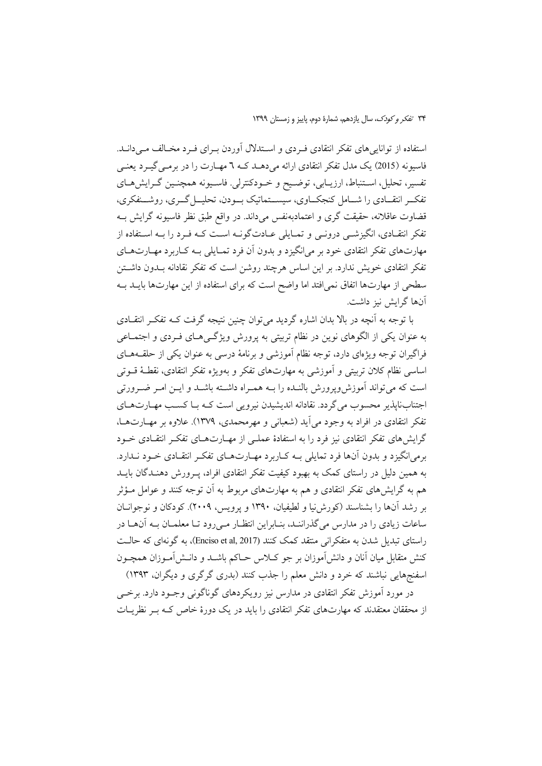استفاده از توانایی های تفکر انتقادی فـردی و اسـتدلال آوردن بـرای فـرد مخـالف مـی دانـد. فاسیونه (2015) یک مدل تفکر انتقادی ارائه میدهــد کــه ٦ مهــارت را در برمــی گیــرد یعنــی تفسیر، تحلیل، اسـتنباط، ارزیــابی، توضـیح و خــودکنترلی. فاســیونه همچنـین گــرایشهــای تفکـر انتقـادي را شــامل کنجکــاوي، سيســتماتيک بــودن، تحليــل گــري، روشـــنفکري، قضاوت عاقلانه، حقیقت گری و اعتمادبهنفس میداند. در واقع طبق نظر فاسیونه گرایش بــه تفکر انتقـادی، انگیزشــی درونــی و تمــایلی عــادتگونــه اســت کــه فــرد را بــه اســتفاده از مهارتهای تفکر انتقادی خود بر می\نگیزد و بدون آن فرد تمـایلی بـه کــاربرد مهــارتهــای تفکر انتقادی خویش ندارد. بر این اساس هرچند روشن است که تفکر نقادانه بــدون داشــتن سطحی از مهارتها اتفاق نمی|فتد اما واضح است که برای استفاده از این مهارتها بایــد بــه آنها گرایش نیز داشت.

با توجه به اَنچه در بالا بدان اشاره گردید می توان چنین نتیجه گرفت کــه تفکـر انتقــادی به عنوان یکی از الگوهای نوین در نظام تربیتی به پرورش ویژگـیهـای فـردی و اجتمـاعی فراگیران توجه ویژهای دارد، توجه نظام آموزشی و برنامهٔ درسی به عنوان یکی از حلقــههــای اساسی نظام کلان تربیتی و آموزشی به مهارتهای تفکر و بهویژه تفکر انتقادی، نقطـۀ قــوتی است که می تواند آموزش وپرورش بالنـده را بـه همـراه داشـته باشـد و ايــن امــر ضــرورتی اجتنابنایذیر محسوب می گردد. نقادانه اندیشیدن نیرویی است کـه بـا کسـب مهـارتهـای تفکر انتقادی در افراد به وجود میآید (شعبانی و مهرمحمدی، ۱۳۷۹). علاوه بر مهــارتهــا، گرایشهای تفکر انتقادی نیز فرد را به استفادهٔ عملـی از مهـارتهـای تفکـر انتقـادی خـود برمي(نگيزد و بدون آنها فرد تمايلي بـه كـاربرد مهـارتهـاي تفكـر انتقـادي خـود نــدارد. به همین دلیل در راستای کمک به بهبود کیفیت تفکر انتقادی افراد، پـرورش دهنـدگان بایــد هم به گرایشهای تفکر انتقادی و هم به مهارتهای مربوط به آن توجه کنند و عوامل مــؤثر بر رشد آنها را بشناسند (کورش نیا و لطیفیان، ۱۳۹۰ و پرویس، ۲۰۰۹). کودکان و نوجوانــان ساعات زیادی را در مدارس میگذراننـد، بنـابراین انتظـار مـیرود تـا معلمـان بـه آنهـا در راستای تبدیل شدن به متفکرانی منتقد کمک کنند (Enciso et al, 2017)، به گونهای که حالـت کنش متقابل میان آنان و دانش[موزان بر جو کـلاس حـاکم باشــد و دانــش|مــوزان همچــون اسفنجهایی نباشند که خرد و دانش معلم را جذب کنند (بدری گرگری و دیگران، ۱۳۹۳)

در مورد آموزش تفکر انتقادی در مدارس نیز رویکردهای گوناگونی وجـود دارد. برخـی از محققان معتقدند که مهارتهای تفکر انتقادی را باید در یک دورهٔ خاص کـه بـر نظریــات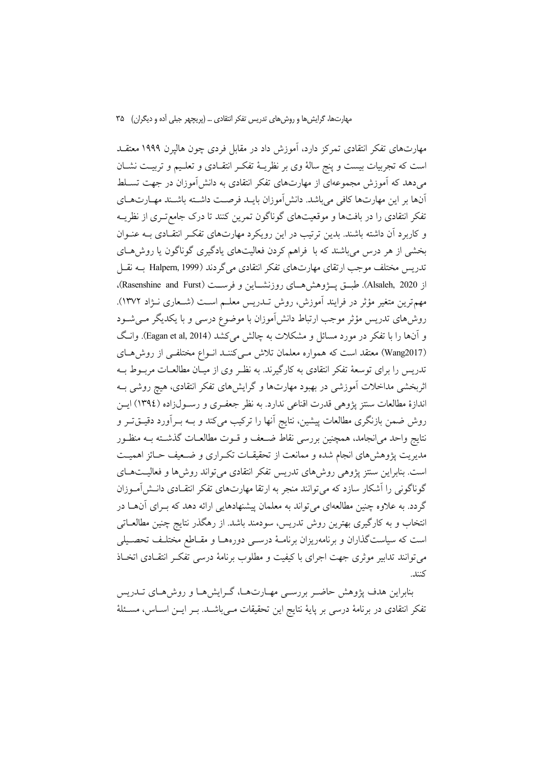مهارتهای تفکر انتقادی تمرکز دارد، آموزش داد در مقابل فردی چون هالیرن ۱۹۹۹ معتقــد است که تجربیات بیست و پنج سالهٔ وی بر نظریـهٔ تفکـر انتقـادی و تعلـیم و تربیـت نشـان می دهد که آموزش مجموعهای از مهارتهای تفکر انتقادی به دانش آموزان در جهت تســلط آنها بر این مهارتها کافی میباشد. دانش آموزان بایـد فرصـت داشـته باشـند مهـارتهـای تفکر انتقادی را در بافتها و موقعیتهای گوناگون تمرین کنند تا درک جامع تـری از نظریــه و کاربرد آن داشته باشند. بدین ترتیب در این رویکرد مهارتهای تفکر انتقادی بـه عنـوان بخشی از هر درس می باشند که با فراهم کردن فعالیتهای یادگیری گوناگون یا روش هـای تدريس مختلف موجب ارتقاي مهارتهاي تفكر انتقادي مي گردند (Halpern, 1999 بــه نقــل از Alsaleh, 2020). طبسق پسژوهش هسای روزنشساین و فرسست (Rasenshine and Furst)، مهمترین متغیر مؤثر در فرایند آموزش، روش تـدریس معلــم اسـت (شــعاری نــژاد ۱۳۷۲). روشهای تدریس مؤثر موجب ارتباط دانشآموزان با موضوع درسی و با یکدیگر مـیشـود و آنها را با تفکر در مورد مسائل و مشکلات به چالش می کشد (Eagan et al, 2014). وانگ (Wang2017) معتقد است که همواره معلمان تلاش مبی کننـد انـواع مختلفـی از روش هـای تدریس را برای توسعهٔ تفکر انتقادی به کارگیرند. به نظـر وی از میـان مطالعــات مربــوط بــه اثربخشی مداخلات آموزشی در بهبود مهارتها و گرایشهای تفکر انتقادی، هیچ روشی بـه اندازهٔ مطالعات سنتز پژوهی قدرت اقناعی ندارد. به نظر جعفـری و رسـول(اده (١٣٩٤) ایـن روش ضمن بازنگری مطالعات پیشین، نتایج آنها را ترکیب میکند و بـه بـرآورد دقیــقتــر و نتايج واحد مىانجامد، همچنين بررسي نقاط ضـعف و قــوت مطالعــات گذشــته بــه منظــور مدیریت یژوهش های انجام شده و ممانعت از تحقیقـات تکـراری و ضـعیف حـائز اهمیـت است. بنابراین سنتز پژوهی روش۵ای تدریس تفکر انتقادی می تواند روش۵ا و فعالیتهـای گوناگونی را آشکار سازد که می توانند منجر به ارتقا مهارتهای تفکر انتقـادی دانـش|مـوزان گردد. به علاوه چنین مطالعهای می تواند به معلمان پیشنهادهایی ارائه دهد که بـرای آنهــا در انتخاب و به کارگیری بهترین روش تدریس، سودمند باشد. از رهگذر نتایج چنین مطالعــاتـی است که سیاستگذاران و برنامهریزان برنامـهٔ درسـی دورههـا و مقـاطع مختلـف تحصـیلی می توانند تدابیر موثری جهت اجرای با کیفیت و مطلوب برنامهٔ درسی تفکر انتقـادی اتخـاذ كنند.

بنابراین هدف پژوهش حاضـر بررسـی مهـارتهـا، گـرایشهـا و روشهـای تــدریس تفکر انتقادی در برنامهٔ درسی بر پایهٔ نتایج این تحقیقات مـیباشــد. بـر ایــن اســاس، مســئلهٔ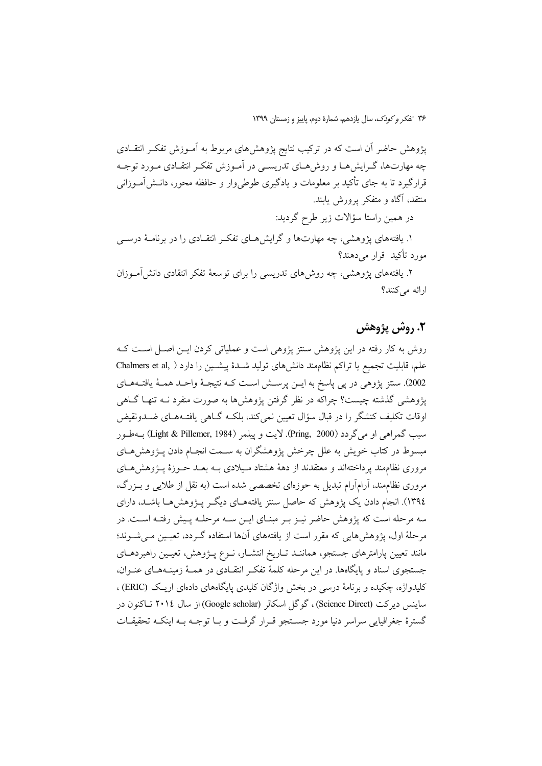پژوهش حاضر آن است که در ترکیب نتایج پژوهشهای مربوط به آمـوزش تفکـر انتقــادی چه مهارتها، گـرایشهـا و روشهـای تدریسـی در آمـوزش تفکـر انتقـادی مـورد توجـه قرارگیرد تا به جای تأکید بر معلومات و یادگیری طوطی,وار و حافظه محور، دانــش|مــوزانـی منتقد، آگاه و متفکر پرورش پابند.

در همین راستا سؤالات زیر طرح گردید:

۱. یافتههای پژوهشی، چه مهارتها و گرایشهـای تفکـر انتقـادی را در برنامـهٔ درســی مورد تأكيد قرار مى دهند؟

۲. یافتههای پژوهشی، چه روش۵های تدریسی را برای توسعهٔ تفکر انتقادی دانشآموزان ارائه می کنند؟

### ٢. روش پژوهش

روش به کار رفته در این پژوهش سنتز پژوهی است و عملیاتی کردن ایـن اصـل اسـت کـه علم، قابلیت تجمیع یا تراکم نظاممند دانشهای تولید شـدهٔ پیشـین را دارد ( ,Chalmers et al 2002). سنتز پژوهی در پی پاسخ به ایــن پرســش اســت کــه نتیجــهٔ واحــد همــهٔ یافتــههــای یژوهشی گذشته چیست؟ چراکه در نظر گرفتن پژوهشها به صورت منفرد نــه تنهـا گــاهی اوقات تکلیف کنشگر را در قبال سؤال تعیین نمی کند، بلکـه گــاهی یافتــههــای ضــدونقیض سبب گمراهي او مي گردد (Pring, 2000). لايت و پيلمر (Light & Pillemer, 1984) بــهطـور مبسوط در کتاب خویش به علل چرخش پژوهشگران به سـمت انجـام دادن پـژوهشهـای مروری نظامِمند پرداختهاند و معتقدند از دههٔ هشتاد مـیلادی بـه بعـد حـوزهٔ پــژوهش۵هـای مروری نظامِمند، آرامآرام تبدیل به حوزهای تخصصی شده است (به نقل از طلایی و بـزرگ، ١٣٩٤). انجام دادن یک پژوهش که حاصل سنتز یافتههــای دیگــر پــژوهش هــا باشــد، دارای سه مرحله است که پژوهش حاضر نیـز بـر مبنـای ایـن سـه مرحلـه پـیش رفتـه اسـت. در مرحلهٔ اول، یژوهشهایی که مقرر است از یافتههای آنها استفاده گـردد، تعیـین مـی شــوند؛ مانند تعیین پارامترهای جستجو، هماننـد تـاریخ انتشـار، نـوع پـژوهش، تعیـین راهبردهـای جستجوی اسناد و پایگاهها. در این مرحله کلمهٔ تفکر انتقـادی در همـهٔ زمینـههـای عنـوان، کلیدواژه، چکیده و برنامهٔ درسی در بخش واژگان کلیدی پایگاههای دادهای اریک (ERIC) . ساینس دیرکت (Science Direct)، گوگل اسکالر (Google scholar) از سال ۲۰۱٤ تــاکنون در گسترهٔ جغرافیایی سراسر دنیا مورد جستجو قبرار گرفت و بـا توجـه بـه اینکـه تحقیقـات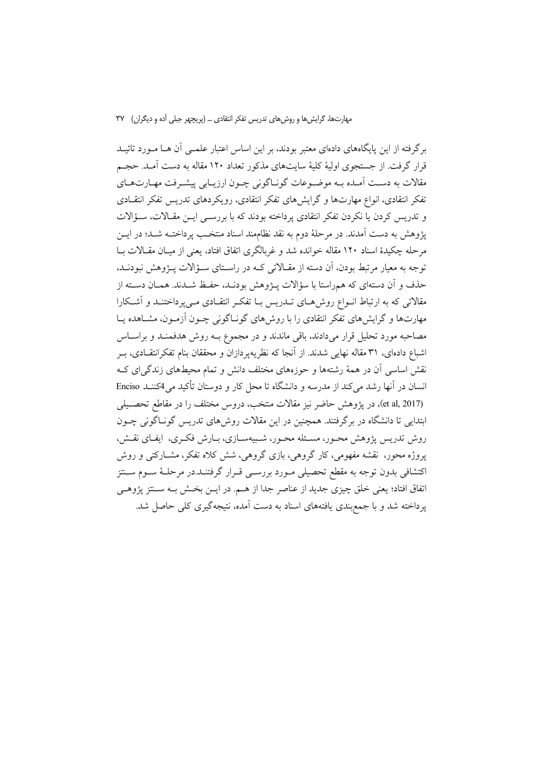برگرفته از این پایگاههای دادهای معتبر بودند، بر این اساس اعتبار علمــی آن هــا مــورد تائیــد قرار گرفت. از جستجوی اولیهٔ کلیهٔ سایتهای مذکور تعداد ۱۲۰ مقاله به دست آمـد. حجـم مقالات به دست آمـده بـه موضـوعات گونـاگونی چـون ارزيـابي پيشـرفت مهـارتهـاي تفکر انتقادی، انواع مهارتها و گرایشهای تفکر انتقادی، رویکردهای تدریس تفکر انتقــادی و تدریس کردن یا نکردن تفکر انتقادی پرداخته بودند که با بررسـی ایـن مقـالات، سـؤالات يژوهش به دست آمدند. در مرحلهٔ دوم به نقد نظامهند اسناد منتخـب پرداختــه شــد؛ در ايــن مرحله چکیدهٔ اسناد ۱۲۰ مقاله خوانده شد و غربالگری اتفاق افتاد، یعنی از میـان مقـالات بـا توجه به معیار مرتبط بودن، اَن دسته از مقـالاتی کـه در راسـتای سـؤالات پــژوهش نبودنــد، حذف و آن دستهای که همراستا با سؤالات پــژوهش بودنـد، حفـظ شــدند. همــان دســته از مقالاتی که به ارتباط انــواع روش۱مـای تــدریس بــا تفکــر انتقــادی مــیپرداختنــد و آشــکارا مهارتها و گرایشهای تفکر انتقادی را با روشهای گونـاگونی چــون آزمــون، مشــاهده یــا مصاحبه مورد تحلیل قرار میدادند، باقی ماندند و در مجموع بـه روش هدفمنـد و براسـاس اشباع دادهای، ۳۱ مقاله نهایی شدند. از آنجا که نظریهپردازان و محققان بنام تفکرانتقــادی، بــر نقش اساسی آن در همهٔ رشتهها و حوزههای مختلف دانش و تمام محیطهای زندگیای ک انسان در آنها رشد می کند از مدرسه و دانشگاه تا محل کار و دوستان تأکید می 4کننــد Enciso (et al, 2017)، در یژوهش حاضر نیز مقالات منتخب، دروس مختلف را در مقاطع تحصـیلی ابتدایی تا دانشگاه در برگرفتند. همچنین در این مقالات روشهای تدریس گوناگونی چـون روش تدریس پژوهش محـور، مسـئله محـور، شـبیهسـازی، بـارش فکـری، ایفـای نقـش، یروژه محور، نقشه مفهومی، کار گروهی، بازی گروهی، شش کلاه تفکر، مشــارکتی و روش اکتشافی بدون توجه به مقطع تحصیلی مـورد بررسـی قـرار گرفتنــد.در مرحلــهٔ ســوم ســنتز اتفاق افتاد؛ يعني خلق چيزي جديد از عناصر جدا از هـم. در ايــن بخـش بــه ســنتز پژوهــي پرداخته شد و با جمع بندی یافتههای اسناد به دست آمده، نتیجهگیری کلی حاصل شد.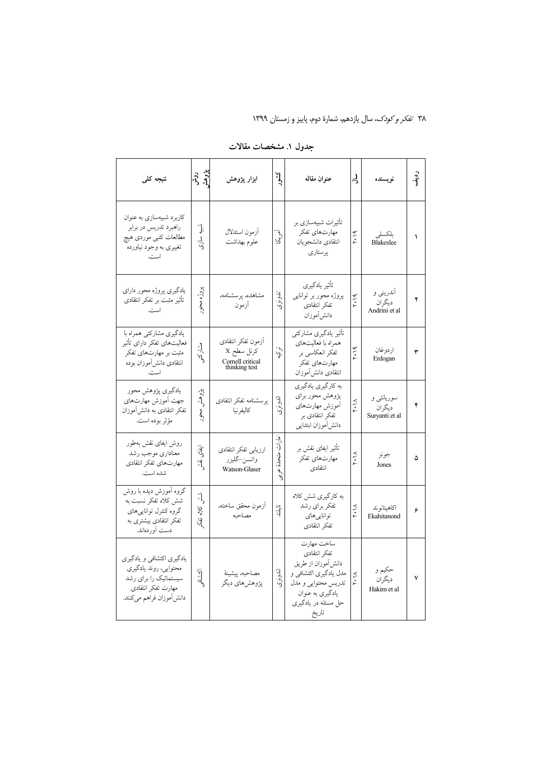| نتيجه كلى                                                                                                                     | روش<br>ژوهشر         | ابزار پژوهش                                                           | كشور                   | عنوان مقاله                                                                                                                                          | ぅ                      | نويسنده                                | $\cdot \hat{\mathbf{a}}^{\mathbf{i}}$ |
|-------------------------------------------------------------------------------------------------------------------------------|----------------------|-----------------------------------------------------------------------|------------------------|------------------------------------------------------------------------------------------------------------------------------------------------------|------------------------|----------------------------------------|---------------------------------------|
| کاربرد شبیهسازی به عنوان<br>راهبرد تدريس در برابر<br>مطالعات كتبى موردى هيچ<br>تغییری به وجود نیاورده<br>است.                 | ڻ<br>};<br>سازي<br>ر | أزمون استدلال<br>علوم بهداشت                                          | آمريکا                 | تأثيرات شبيهسازي بر<br>مهارتهاي تفكر<br>انتقادى دانشجويان<br>پرستاري                                                                                 | 7.19                   | بلكسلي<br><b>Blakeslee</b>             | ١                                     |
| یادگیری پروژه محور دارای<br>تأثیر مثبت بر تفکر انتقادی<br>است.                                                                | پروژه<br>g)          | مشاهده پرسشنامه،<br>أزمون                                             | اندونزى                | تأثير يادگيري<br>پروژه محور بر توانایی<br>تفكر انتقادى<br>دانش آموزان                                                                                | ۲۰۱۹                   | آندرینی و<br>دیگر ان<br>Andrini et al  | ۲                                     |
| یادگیری مشارکتی همراه با<br>فعالیتهای تفکر دارای تأثیر<br>مثبت بر مهارتهای تفکر<br>انتقادى دانش موزان بوده<br>است.            | مشاركتمى             | آزمون تفكر انتقادى<br>كرنل سطح X<br>Cornell critical<br>thinking test | تىرى.                  | تأثير يادگيري مشاركتي<br>همراه با فعالیتهای<br>تفکر انعکاسی بر<br>مهارتهاي تفكر<br>انتقادى دانش موزان                                                | ۲۰۱۹                   | اردوغان<br>Erdogan                     | ٣                                     |
| يادگيري پژوهش محور<br>جهت أموزش مهارتهاى<br>تفکر انتقادی به دانشآموزان<br>مؤثر بوده است.                                      | پڙوهش<br>ەكتى        | پرسشنامه تفكر انتقادى<br>كاليفرنيا                                    | اندونزى                | به كارگيري يادگيري<br>پژوهش محور برای<br>أموزش مهارتهاي<br>تفکر انتقادی بر<br>دانش[موزان ابتدايي                                                     | $\frac{\times}{\cdot}$ | سوريانتې و<br>ديگران<br>Suryanti et al | ۴                                     |
| روش ايفاى نقش بهطور<br>معناداري موجب رشد<br>مهارتهاى تفكر انتقادى<br>شده است.                                                 | ایفای<br>ې:<br>م     | ارزيابي تفكر انتقادى<br>واتسن-گليزر<br>Watson-Glaser                  | امارات<br>متحكءً<br>رد | تأثیر ایفای نقش بر<br>مهارتهاي تفكر<br>انتقادى                                                                                                       | $\sum_{\mathbf{r}}$    | جونز<br>Jones                          | ۵                                     |
| گروه آموزش ديده با روش<br>شش کلاه تفکر نسبت به<br>گروه كنترل توانايىهاى<br>تفکر انتقادی بیشتری به<br>دست آوردماند.            | 4<br>Χç<br>ूर्       | أزمون محقق ساخته،<br>مصاحبه                                           | تارلى:<br>تار          | به كارگيري شش كلاه<br>تفكر براي رشد<br>توانايي هاي<br>تفكر انتقادى                                                                                   | $\sum_{\mathbf{r}}$    | اكاهيتانوند<br>Ekahitanond             | ۶                                     |
| یادگیری اکتشافی و یادگیری<br>محتوايي، روند يادگيري<br>سیستماتیک را برای رشد<br>مهارت تفكر انتقادى<br>دانش[موزان فراهم مىكنند. | اكتشافى              | مصاحبه، پيشينۀ<br>پژوهشهاي ديگر                                       | اندونزى                | ساخت مهارت<br>تفكر انتقادى<br>دانش[موزان از طريق<br>مدل يادگيري اكتشافي و<br>تدريس محتوايي و مدل<br>يادگيري به عنوان<br>حل مسئله در یادگیری<br>تاريخ | Y. M                   | حکيم و<br>دیگر ان<br>Hakim et al       | ٧                                     |

جدول ۱. مشخصات مقالات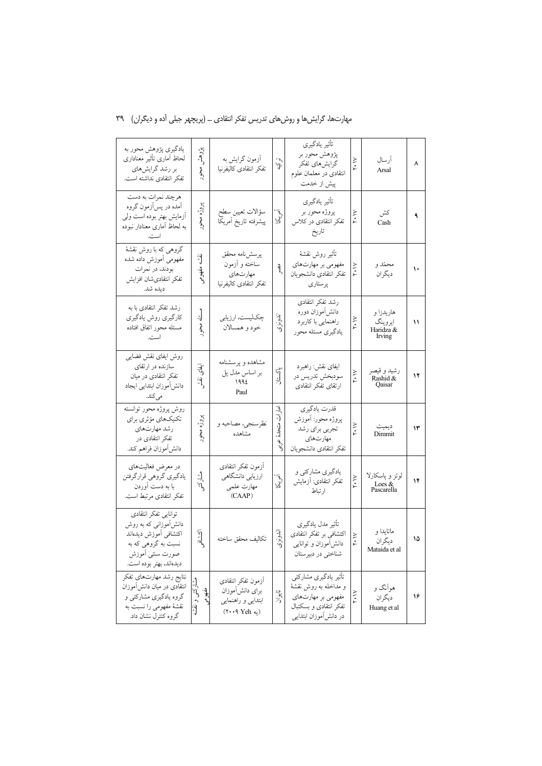| مهارتها، گرایشها و روشهای تدریس تفکر انتقادی … (پریچهر جبلی آده و دیگران) ۳۹ |  |
|------------------------------------------------------------------------------|--|
|------------------------------------------------------------------------------|--|

| یادگیری پژوهش محور به<br>لحاظ أمارى تأثير معنادارى<br>بر رشد گرایشهای<br>تفكر انتقادى نداشته است.                                           | پژوهش<br>محرر            | أزمون گرايش به<br>تفكر انتقادى كاليفرنيا                                                                        | تهيني                      | تأثير يادگيري<br>پژوهش محور بر<br>گرایشهای تفکر<br>انتقادی در معلمان علوم<br>پیش از خدمت                               | ٢٠١٧        | أرسال<br>Arsal                              | ٨  |
|---------------------------------------------------------------------------------------------------------------------------------------------|--------------------------|-----------------------------------------------------------------------------------------------------------------|----------------------------|------------------------------------------------------------------------------------------------------------------------|-------------|---------------------------------------------|----|
| هرچند نمرات به دست<br>أمده در پسأزمون گروه<br>ازمایش بهتر بوده است ولی<br>به لحاظ أمارى معنادار نبوده<br>است.                               | پروژه محور               | سؤالات تعيين سطح<br>پيشرفته تاريخ أمريكا                                                                        | $\bar{\zeta}$<br>λ,        | تأثير يادكيري<br>پروژه محور بر<br>تفکر انتقادی در کلاس<br>تاريخ                                                        | ۲۰۱۷        | كش<br>Cash                                  | ٩  |
| گروهی که با روش نقشهٔ<br>مفهومى أموزش داده شده<br>بودند، در نمرات<br>تفكر انتقادىشان افزايش<br>ديده شد.                                     | نقشه<br>مفهومى           | پرسشiامه محقق<br>ساخته و أزمون<br>مهارتهاي<br>تفكر انتقادى كاليفرنيا                                            | q                          | تأثير روش نقشة<br>مفهومی بر مهارتهای<br>تفكر انتقادى دانشجويان<br>يرستاري                                              | $Y \cdot Y$ | محمّد و<br>ديگران                           | ١٠ |
| رشد تفکر انتقادی با به<br>كارگيري روش يادگيري<br>مسئله محور اتفاق افتاده<br>است.                                                            | مسئله<br>محور            | چکلیست، ارزیابی<br>خود و همسالان                                                                                | اندونزى                    | رشد تفكر انتقادى<br>دانش[موزان دوره<br>راهنمایی با کاربرد<br>يادگيري مسئله محور                                        | ۲۰۱۷        | هاريدزا و<br>ايروينگ<br>Haridza &<br>Irving | ۱۱ |
| روش ايفاى نقش فضايبي<br>سازنده در ارتقای<br>تفکر انتقادی در میان<br>دانش[موزان ابتدايي ايجاد<br>مىكند.                                      | ایقای<br>و:<br>د         | مشاهده و پرسشنامه<br>بر اساس مدل پل<br>1992<br>Paul                                                             | پاکستان                    | ايفاي نقش: راهبرد<br>سودېخش تدريس در<br>ارتقاى تفكر انتقادى                                                            | ٢٠١٧        | رشيد و قيصر<br>Rashid &<br>Qaisar           | ۱۲ |
| روش پروژه محور توانسته<br>تكنيكهاي مؤثري براي<br>رشد مهارتهاى<br>تفکر انتقادی در<br>دانش[موزان فراهم كند.                                   | پروژه<br>محور            | نظرسنجي، مصاحبه و<br>مشاهده                                                                                     | امارات<br>متحلة<br>ىمولىيى | قدرت يادگيري<br>پروژه محور: أموزش<br>تجربي براي رشد<br>مهارتهاى<br>تفكر انتقادى دانشجويان                              | ۲۰۱۷        | ديميت<br>Dimmit                             | ۱۳ |
| در معرض فعالیتهای<br>يادگيري گروهي قرارگرفتن<br>با به دست أوردن<br>تفكر انتقادى مرتبط است.                                                  | ٳؙ<br>$\beta'$           | أزمون تفكر انتقادى<br>ارزیابی دانشگاهی<br>مهارت علمى<br>(CAAP)                                                  | آمي<br>آک                  | یادگیری مشارکتی و<br>تفكر انتقادى: أزمايش<br>ارتباط                                                                    | ۲۰۱۷        | لوئز و پاسکارلا<br>Loes &<br>Pascarella     | ۱۴ |
| توانايي تفكر انتقادى<br>دانشآموزانی که به روش<br>اكتشافي أموزش ديدهاند<br>نسبت به گروهي كه به<br>صورت سنتي أموزش<br>ديدهاند، بهتر بوده است. | اكشافو                   | تكاليف محقق ساخته                                                                                               | اندونزك                    | تأثير مدل يادگيري<br>اکتشافی بر تفکر انتقادی<br>دانشlموزان و توانایی<br>شناختی در دبیرستان                             | ۲۰۱۷        | ماتايدا و<br>ديگران<br>Mataida et al        | ۱۵ |
| نتايج رشد مهارتهاي تفكر<br>انتقادی در میان دانش[موزان<br>گروه یادگیری مشارکتی و<br>نقشهٔ مفهومی را نسبت به<br>گروه کنترل نشان داد.          | مشاركتي و نقشه<br>حفهومى | أزمون تفكر انتقادى<br>براى دانش[موزان<br>ابتدایی و راهنمایی<br>$(Y \cdot \cdot \mathsf{A} \text{ Yeh } \omega)$ | تايوان                     | تأثير يادگيري مشاركتي<br>و مداخله به روش نقشهٔ<br>مفهومی بر مهارتهای<br>تفكر انتقادى وبسكتبال<br>در دانشآموزان ابتدایی | ۲۰۱۷        | هوانگ و<br>ديگر ان<br>Huang et al           | ۱۶ |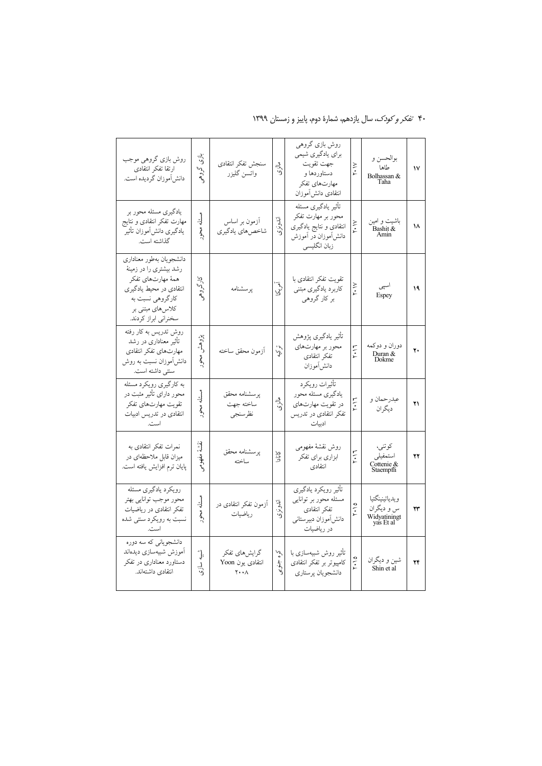| روش بازی گروهی موجب<br>ارتقا تفكر انتقادى<br>دانش موزان گردیده است.                                                                                                   | بازی<br>گروهي                  | سنجش تفكر انتقادى<br>واتسن گليزر                            | مارى                       | روش بازی گروهی<br>برای یادگیری شیمی<br>جهت تقويت<br>دستاوردها و<br>مهارتهاي تفكر<br>انتقادى دانشlموزان      | $Y \cdot V$  | بوالحسن و<br>طاها<br>Bolhassan &<br>Taha                  | ١٧ |
|-----------------------------------------------------------------------------------------------------------------------------------------------------------------------|--------------------------------|-------------------------------------------------------------|----------------------------|-------------------------------------------------------------------------------------------------------------|--------------|-----------------------------------------------------------|----|
| یادگیری مسئله محور بر<br>مهارت تفكر انتقادى و نتايج<br>يادگيرى دانشlَموزان تأثير<br>گذاشته است.                                                                       | مسئله<br>z                     | آزمون بر اساس<br>شاخصهاي يادگيري                            | اندونزى                    | تأثير يادگيري مسئله<br>محور بر مهارت تفکر<br>انتقادی و نتایج یادگیری<br>دانش[موزان در أموزش<br>زبان انگلیسی | Y.\Y         | باشیت و امین<br>Bashit &<br>Amin                          | ۱۸ |
| دانشجويان بهطور معناداري<br>رشد بیشتری را در زمینهٔ<br>همهٔ مهارتهای تفکر<br>انتقادی در محیط یادگیری<br>كارگروهي نسبت به<br>کلاس های مبتنی بر<br>سخنراني ابراز كردند. | $\tilde{\sigma}$<br>کروهی<br>د | پرسشنامه                                                    | آمي<br>آک                  | تقويت تفكر انتقادى با<br>كاربرد يادگيري مبتنى<br>بر کار گروهي                                               | ۲۰۱۷         | اسپی<br>Espey                                             | ١٩ |
| روش تدریس به کار رفته<br>تأثیر معناداری در رشد<br>مهارتهاى تفكر انتقادى<br>دانش[موزان نسبت به روش<br>سنتي داشته است.                                                  | پژوهش<br>محور                  | أزمون محقق ساخته                                            | ترکي                       | تأثير يادگيري پژوهش<br>محور بر مهارتهای<br>تفكر انتقادى<br>دانشlاموزان                                      | 7.17         | دوران و دوكمه<br>Duran &<br>Dokme                         | ۲. |
| به کارگیری رویکرد مسئله<br>محور دارای تأثیر مثبت در<br>تقويت مهارتهاي تفكر<br>انتقادى در تدريس ادبيات<br>است.                                                         | مسئله<br>محور                  | يرسشنامه محقق<br>ساخته جهت<br>نظرسنجي                       | مازى                       | تأثيرات رويكرد<br>يادگيري مسئله محور<br>در تقویت مهارتهای<br>تفکر انتقادی در تدریس<br>ادبيات                | 7.17         | عبدرحمان و<br>دیگر ان                                     | ۲۱ |
| نمرات تفكر انتقادى به<br>میزان قابل ملاحظهای در<br>پایان ترم افزایش یافته است.                                                                                        | تقسية<br>مفهومى                | پرسشنامه محقق<br>ساخته                                      | <b>SFIC</b>                | روش نقشهٔ مفهومی<br>ابزاري براي تفكر<br>انتقادى                                                             | $Y \cdot 17$ | کوتنی،<br>استمفيلي<br>Cottenie &<br>Staempfli             | ۲۲ |
| رويكرد يادگيري مسئله<br>محور موجب توانايي بهتر<br>تفكر انتقادى در رياضيات<br>نسبت به رویکرد سنتی شده<br>است.                                                          | مسئله<br>محرر                  | آزمون تفکر انتقادی در<br>رياضيات                            | اندونزى                    | تأثير رويكرد يادگيرى<br>مسئله محور بر توانايي<br>تفكر انتقادى<br>دانش آموزان دبيرستاني<br>در رياضيات        | 7.10         | ويدياتينينگتيا<br>س و دیگران<br>Widyatiningt<br>yas Et al | ۲۳ |
| دانشجویانی که سه دوره<br>أموزش شبيهسازي ديدهاند<br>دستاورد معناداری در تفکر<br>انتقادى داشتهاند.                                                                      | ش<br>پلې<br>ىيازى              | گرایش،ای تفکر<br>انتقادی یون Yoon<br>$Y \cdot \cdot \wedge$ | $\zeta_{\bullet}$<br>جنوبى | تأثیر روش شبیهسازی با<br>كامپيوتر بر تفكر انتقادى<br>دانشجويان پرستاري                                      | 5.10         | شین و دیگران<br>Shin et al                                | ۲۴ |

۴۰ تف*کر و کودک،* سال یازدهم، شمارهٔ دوم، پاییز و زمستان ۱۳۹۹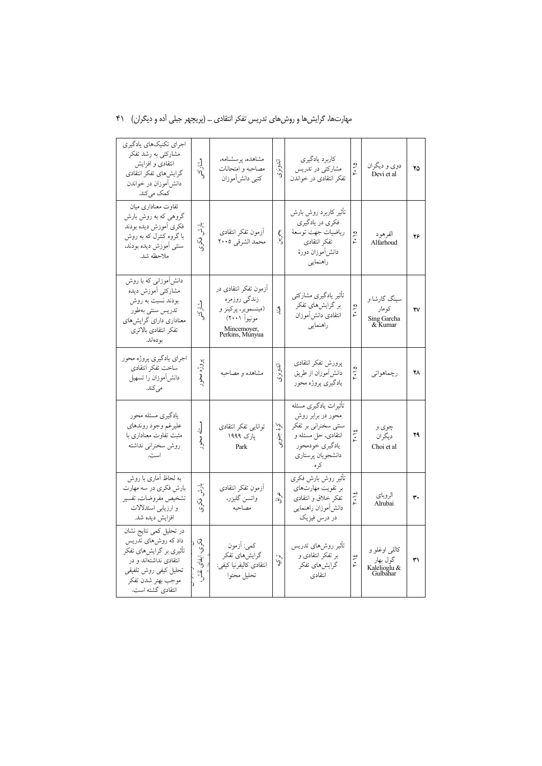#### ۔<br>اجرای تکنیکهای یادگیری مشارکتی به رشد تفکر كاربرد يادگيري مشاهده پرسشنامه، اندونزى انتقادی و افزایش فشار 7.10 دوی و دیگران .<br>مصاحبه و امتحانات .<br>مشارکتی در تدریس  $\mathbf{Y} \Delta$ گرایشهای تفکر انتقادی  $\mathcal{N}$ Devi et al كتبي دانشlموزان تفکر انتقادی در خواندن دانش آموزان در خواندن كمك مى كند. تفاوت معناداری میان تأثير كاربرد روش بارش گروهي كه به روش بارش فکري در يادگيري بڈ<br>ڈ فكرى أموزش ديده بودند بلا<br>أحم أزمون تفكر انتقادى رياضيات جهت توسعهٔ  $2.10$ با گروه کنترل که به روش الفرهود  $\mathbf{Y}\mathbf{P}$  $\ddot{\mathcal{S}}$ تفكر انتقادى محمد الشرقي ٢٠٠٥ Alfarhoud سنتي أموزش ديده بودند، دانش|موزان دورهٔ ملاحظه شد. راهنمایی دانشآموزانی که با روش آزمون تفکر انتقادی در مشاركتي أموزش ديده تأثير يادگيري مشاركتي زندگي روزمره سىنگ گارشا و بودند نسبت به روش و<br>فيل بر گرایشهای تفکر  $\frac{1}{2}$ (مینسمویّر، پرکینز و<br>مونیوا (۲۰۰۱) كومار  $\frac{3}{2}$  $\mathbf{v}$ تدريس سنتي بهطور  $\widetilde{\gamma}$ .<br>انتقادی دانش آموزان ۔<br>معناداری دارای گرایشہای Sing Garcha<br>& Kumar راهنمایی Mincemoyer,<br>Perkins, Munyua تفكر انتقادى بالاترى بو دەاند. اجراي يادگيري پروژه محور پروڑه محور پرورش تفكر انتقادى اندونزى ساخت تفكر انتقادى  $\frac{1}{2}$ دانش|موزان از طريق  $\mathbf{Y} \wedge$ مشاهده و مصاحبه رچماهواتي دانش]موزان را تسهيل يادگيري پروژه محور مى كند. تأثیرات یادگیری مسئله یادگیری مسئله محور محور در برابر روش عليرغم وجود روندهاي مسئل توانايي تفكر انتقادى  $\tilde{N}$ سنتی سخنرانی بر تفکر چوی و  $\cdot$  12 ه<br>مختوری  $\mathbf{y}$ مثبت تفاوت معناداری با انتقادی، حل مسئله و یارک ۱۹۹۹ ديگر ان محور روش سخنراني نداشته يادگيري خودمحور Park Choi et al است. دانشجويان پرستاري کہ ہ به لحاظ آماری با روش تأثير روش بارش فكرى بارش بارش فكرى در سه مهارت أزمون تفكر انتقادى بر تقویت مهارتهای  $\frac{1}{2}$ هراق الر و پای تشخيص مفروضات، تفسير واتسن گليزر، تفكر خلاق و انتقادى  $\mathbf{r}$ ر<br>پرې Alrubai و ارزیابی استدلالات مصاحبه دانش آموزان راهنمایی افزايش ديده شد. در درس فیزیک در تحلیل کمی نتایج نشان داد که روشهای تذریس وي<br>ري كمي: اَزمون تأثير روشهاى تدريس کاللی اوغلو و تأثیری بر گرایشهای تفکر -<br>بر تفکر انتقادی و گرایشهای تفکر تركيه أيقا  $\overline{r}\cdot\overline{1}\xi$ گول بھار انتقادی نداشتهاند و در  $\Upsilon\Upsilon$ انتقادي كاليفرنيا كيفي: گرایش های تفکر Kalelioglu  $&$  Gulbahar  $\sum_{i=1}^{n}$ تحليل كيفي روش تلفيقي ۔<br>انتقادی تحليل محتوا موجب بهتر شدن تفكر انتقادي گشته است.

### مهارتها، گرایشها و روشهای تدریس تفکر انتقادی … (پریچهر جبلی آده و دیگران) ۴۱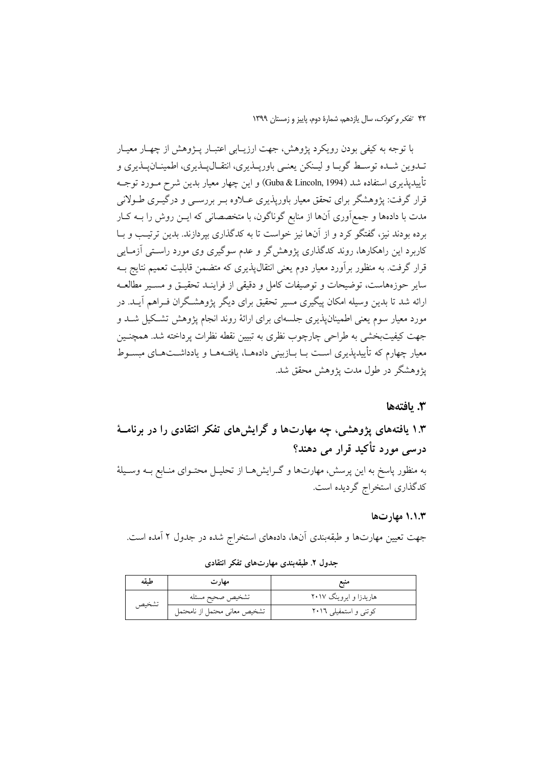با توجه به کیفی بودن رویکرد پژوهش، جهت ارزیـابی اعتبـار پـژوهش از چهـار معیـار تــدوين شــده توســط گوبــا و ليــنكن يعنــي باوريــذيري، انتقــال1يـذيري، اطمينــان2يـذيري و تأييديذيري استفاده شد (Guba & Lincoln, 1994) و اين چهار معيار بدين شرح مــورد توجــه قرار گرفت: یژوهشگر برای تحقق معیار باوریذیری عــلاوه بــر بررســی و درگیــری طــولانی مدت با دادهها و جمع آوری آنها از منابع گوناگون، با متخصصانی که ایــن روش را بــه کــار برده بودند نیز، گفتگو کرد و از آنها نیز خواست تا به کدگذاری بیردازند. بدین ترتیب و بـا کاربرد این راهکارها، روند کدگذاری یژوهش گر و عدم سوگیری وی مورد راستی آزمـایی قرار گرفت. به منظور برآورد معیار دوم یعنی انتقال $\mu$ یدیری که متضمن قابلیت تعمیم نتایج بــه سایر حوزههاست، توضیحات و توصیفات کامل و دقیقی از فراینـد تحقیــق و مســیر مطالعــه ارائه شد تا بدین وسیله امکان پیگیری مسیر تحقیق برای دیگر پژوهشگران فـراهم آیــد. در مورد معیار سوم یعنی اطمینانپذیری جلسهای برای ارائهٔ روند انجام پژوهش تشکیل شـد و جهت کیفیتبخشی به طراحی چارچوب نظری به تبیین نقطه نظرات پرداخته شد. همچنـین معیار چهارم که تأییدیذیری است بــا بــازبینی دادههــا، یافتــههــا و یادداشـــتـهــای مبســوط يژوهشگر در طول مدت يژوهش محقق شد.

#### 3. يافتەھا

# ۱.۳ یافتههای پژوهشی، چه مهارتها و گرایشهای تفکر انتقادی را در برنامـهٔ درسی مورد تأکید قرار می دهند؟

به منظور پاسخ به این پرسش، مهارتها و گـرایشهــا از تحلیــل محتــوای منــابع بــه وســیلهٔ كدگذاري استخراج گرديده است.

#### ۱.۱.۳ مهارتها

جهت تعیین مهارتها و طبقهبندی آنها، دادههای استخراج شده در جدول ۲ آمده است.

| طيقه  | مهار ت                       | منبع                   |
|-------|------------------------------|------------------------|
| تشخيص | تشخيص صحيح مسئله             | هاریدزا و ایروینگ ۲۰۱۷ |
|       | تشخيص معانى محتمل از نامحتمل | کوتنی و استمفیلی ۲۰۱٦  |

جدول ۲. طبقهبندی مهارتهای تفکر انتقادی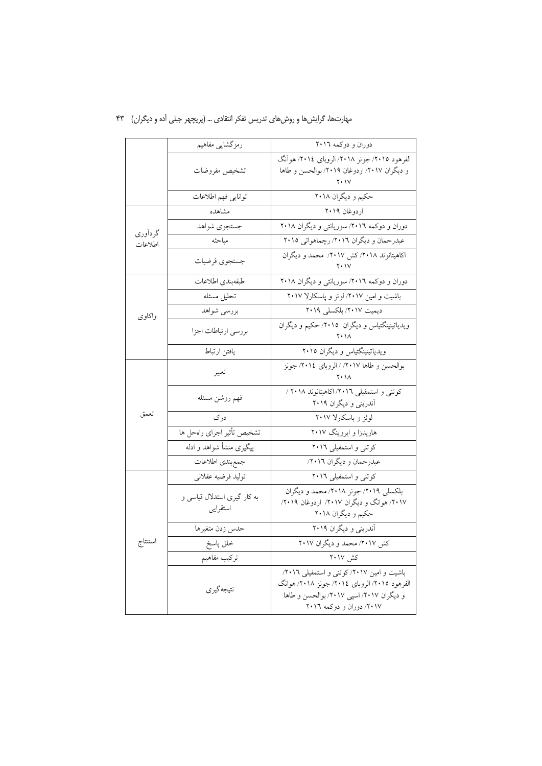|         | رمزگشایی مفاهیم                          | دوران و دوكمه ٢٠١٦                                                                                                                                                |
|---------|------------------------------------------|-------------------------------------------------------------------------------------------------------------------------------------------------------------------|
|         | تشخيص مفروضات                            | الفرهود ٢٠١٥/ جونز ٢٠١٨/ الروباي ٢٠١٤/ هوأنگ<br>و دیگران ۲۰۱۷/ اردوغان ۲۰۱۹/ بوالحسن و طاها                                                                       |
|         | توانايي فهم اطلاعات                      | حکیم و دیگران ۲۰۱۸                                                                                                                                                |
|         | مشاهده                                   | اردوغان ٢٠١٩                                                                                                                                                      |
| گردآوري | جستجوى شواهد                             | دوران و دوکمه ۲۰۱٦/ سوریانتی و دیگران ۲۰۱۸                                                                                                                        |
| اطلاعات | مباحثه                                   | عبدرحمان و دیگران ٢٠١٦/ رچماهواتی ٢٠١٥                                                                                                                            |
|         | جستجوى فرضيات                            | اکاهیتانوند ٢٠١٨/ کش ٢٠١٧/ محمد و دیگران<br>۲۰۱۷                                                                                                                  |
|         | طبقهبندى اطلاعات                         | دوران و دوکمه ۲۰۱٦/ سوریانتی و دیگران ۲۰۱۸                                                                                                                        |
|         | تحليل مسئله                              | باشیت و امین ۲۰۱۷/ لوئز و پاسکارلا ۲۰۱۷                                                                                                                           |
| واكاوى  | بررسي شواهد                              | دیمیت ۲۰۱۷/ بلکسلی ۲۰۱۹                                                                                                                                           |
|         | بررسي ارتباطات اجزا                      | ویدیاتینینگتیاس و دیگران ۲۰۱۵/ حکیم و دیگران<br>$Y \cdot \Lambda$                                                                                                 |
|         | يافتن ارتباط                             | ویدیاتینینگتیاس و دیگران ۲۰۱۵                                                                                                                                     |
| تعمق    | تعبير                                    | بوالحسن و طاها ٢٠١٧/ الروباي ٢٠١٤/ جونز<br>۲۰۱۸                                                                                                                   |
|         | فهم روشن مسئله                           | کوتنی و استمفیلی ۲۰۱٦/ اکاهیتانوند ۲۰۱۸ /<br>آندرینی و دیگران ۲۰۱۹                                                                                                |
|         | درک                                      | لوئز و پاسکارلا ۲۰۱۷                                                                                                                                              |
|         | تشخيص تأثير اجراي راهحل ها               | هاریدزا و ایروینگ ۲۰۱۷                                                                                                                                            |
|         | پیگیری منشأ شواهد و ادله                 | کوتنی و استمفیلی ۲۰۱٦                                                                                                                                             |
|         | جمع بندى اطلاعات                         | عبدرحمان و دیگران ۲۰۱٦/                                                                                                                                           |
|         | توليد فرضيه عقلاني                       | کوتنی و استمفیلی ۲۰۱٦                                                                                                                                             |
| استنتاج | به کار گیری استدلال قیاسی و<br>استقرايبي | بلکسلی ۲۰۱۹/ جونز ۲۰۱۸/ محمد و دیگران<br>۲۰۱۷/ هوانگ و دیگران ۲۰۱۷/ اردوغان ۲۰۱۹/<br>حکیم و دیگران ۲۰۱۸                                                           |
|         | حدس زدن متغيرها                          | آندرینی و دیگران ۲۰۱۹                                                                                                                                             |
|         | خلق پاسخ                                 | کش ۲۰۱۷/ محمد و دیگران ۲۰۱۷                                                                                                                                       |
|         | تركيب مفاهيم                             | کش ۲۰۱۷                                                                                                                                                           |
|         | نتيجه گير ي                              | باشیت و امین ۲۰۱۷/ کوتنی و استمفیلی ۲۰۱٦/<br>الفرهود ٢٠١٥/ الروباي ٢٠١٤/ جونز ٢٠١٨/ هوانگ<br>و دیگران ٢٠١٧/ اسپی ٢٠١٧/ بوالحسن و طاها<br>٢٠١٧/ دوران و دوكمه ٢٠١٦ |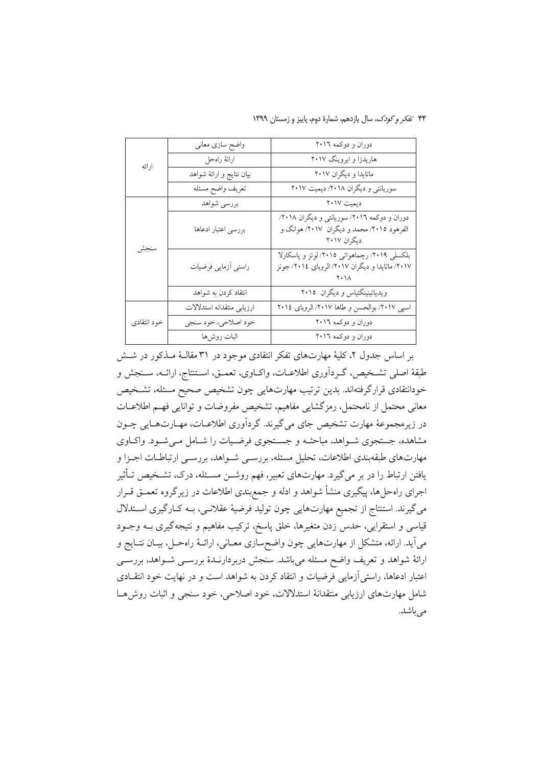۴۴ تفکر و کودک، سال یازدهم، شمارهٔ دوم، پاییز و زمستان ۱۳۹۹

|             | واضح سازى معانى            | دوران و دوکمه ٢٠١٦                                                                                      |
|-------------|----------------------------|---------------------------------------------------------------------------------------------------------|
| ارائه       | ارائهٔ راهحل               | هاریدزا و ایروینگ ۲۰۱۷                                                                                  |
|             | بيان نتايج و ارائهٔ شواهد  | ماتایدا و دیگران ۲۰۱۷                                                                                   |
|             | تعريف واضح مسئله           | سوریانتی و دیگران ۲۰۱۸/ دیمیت ۲۰۱۷                                                                      |
|             | بررسي شواهد                | ديميت ٢٠١٧                                                                                              |
| سنجش        | بررسي اعتبار ادعاها        | دوران و دوکمه ٢٠١٦/ سوريانتي و ديگران ٢٠١٨/<br>الفرهود ۲۰۱۵/ محمد و دیگران ۲۰۱۷/ هوانگ و<br>ديگران ٢٠١٧ |
|             | راستي أزمايي فرضيات        | بلکسلی ۲۰۱۹/ رچماهواتی ۲۰۱۵/ لوئز و پاسکارلا<br>۲۰۱۷/ ماتایدا و دیگران ۲۰۱۷/ الروبای ۲۰۱٤/ جونز         |
|             | انتقاد كردن به شواهد       | ویدیاتینینگتیاس و دیگران ٢٠١٥                                                                           |
|             | ارزيابي منتقدانه استدلالات | اسپی ٢٠١٧/ بوالحسن و طاها ٢٠١٧/ الروبای ٢٠١٤                                                            |
| خود انتقادى | خود اصلاحي، خود سنجي       | دوران و دوکمه ٢٠١٦                                                                                      |
|             | اثبات روشها                | دوران و دوكمه ٢٠١٦                                                                                      |

بر اساس جدول ۲، کلیهٔ مهارتهای تفکر انتقادی موجود در ۳۱ مقالـهٔ مــذکور در شــش طبقهٔ اصلی تشـخیص، گــرداَوری اطلاعــات، واکــاوی، تعمــق، اســتنتاج، ارائــه، ســنجش و خودانتقادی قرارگرفتهاند. بدین ترتیب مهارتهایی چون تشخیص صحیح مسئله، تشخیص معانی محتمل از نامحتمل، رمزگشایی مفاهیم، تشخیص مفروضات و توانایی فهسم اطلاعــات در زیرِ مجموعهٔ مهارت تشخیص جای می گیرند. گردآوری اطلاعــات، مهــارتهــایی چــون مشاهده، جستجوی شـواهد، مباحثـه و جسـتجوی فرضـیات را شـامل مـی شـود. واکـاوی مهارتهای طبقهبندی اطلاعات، تحلیل مسئله، بررسـی شـواهد، بررسـی ارتباطـات اجـزا و یافتن ارتباط را در بر میگیرد. مهارتهای تعبیر، فهم روشــن مسـئله، درک، تشـخیص تــأثیر اجرای راهحلها، پیگیری منشأ شواهد و ادله و جمع بندی اطلاعات در زیرگروه تعمــق قــرار میگیرند. استنتاج از تجمیع مهارتهایی چون تولید فرضیهٔ عقلانـی، بـه کـارگیری اسـتدلال قیاسی و استقرایی، حدس زدن متغیرها، خلق پاسخ، ترکیب مفاهیم و نتیجهگیری بــه وجــود میآید. ارائه، متشکل از مهارتهایی چون واضحسازی معـانی، ارائـهٔ راهحـل، بیـان نتـایج و ارائهٔ شواهد و تعریف واضح مسئله میباشد. سنجش دربردارنـدهٔ بررســی شــواهد، بررســی اعتبار ادعاها، راستی آزمایی فرضیات و انتقاد کردن به شواهد است و در نهایت خود انتقـادی شامل مهارتهاي ارزيابي منتقدانهٔ استدلالات، خود اصلاحي، خود سنجي و اثبات روش هـا می باشد.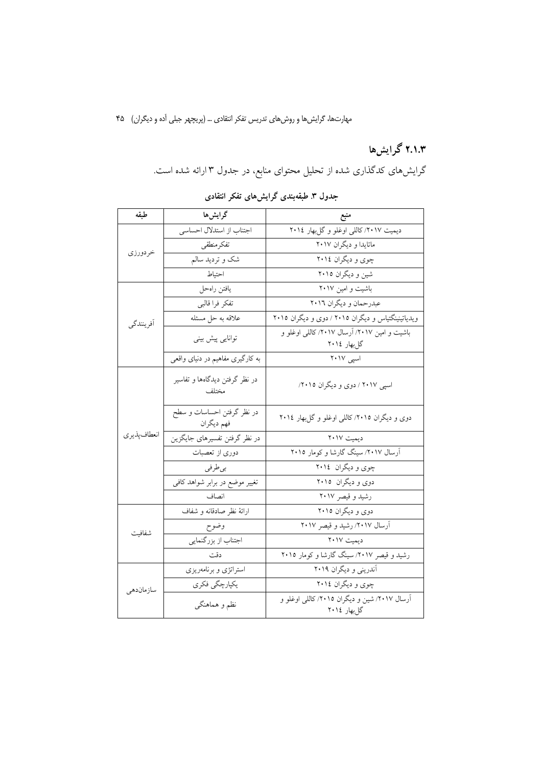# ۲.۱.۳ گرایشها

گرایشهای کدگذاری شده از تحلیل محتوای منابع، در جدول ۳ ارائه شده است.

جدول ۳ طبقهبندی گرایشهای تفکر انتقادی

| طبقه         | گرایشها                                  | منبع                                                         |
|--------------|------------------------------------------|--------------------------------------------------------------|
|              | اجتناب از استدلال احساسي                 | دیمیت ۲۰۱۷/ کاللی اوغلو و گلبهار ۲۰۱٤                        |
|              | تفكرمنطقي                                | ماتایدا و دیگران ۲۰۱۷                                        |
| خردورزي      | شک و تردید سالم                          | چوي و ديگران ٢٠١٤                                            |
|              | احتياط                                   | شین و دیگران ۲۰۱۵                                            |
|              | يافتن راهحل                              | باشیت و امین ۲۰۱۷                                            |
|              | تفكر فرا قالبي                           | عبدرحمان و ديگران ٢٠١٦                                       |
| أفرينندگي    | علاقه به حل مسئله                        | ویدیاتینینگتیاس و دیگران ۲۰۱۵ / دوی و دیگران ۲۰۱۵            |
|              | توانایی پیش بینی                         | باشیت و امین ۲۰۱۷/ آرسال ۲۰۱۷/ کاللی اوغلو و<br>گل بهار ۲۰۱٤ |
|              | به کارگیری مفاهیم در دنیای واقعی         | اسپی ۲۰۱۷                                                    |
| انعطاف پذيري | در نظر گرفتن دیدگاهها و تفاسیر<br>مختلف  | اسپي ٢٠١٧ / دوي و ديگران ٢٠١٥/                               |
|              | در نظر گرفتن احساسات و سطح<br>فهم ديگران | دوی و دیگران ۲۰۱۵/ کاللی اوغلو و گلبهار ۲۰۱٤                 |
|              | در نظر گرفتن تفسیرهای جایگزین            | ديميت ٢٠١٧                                                   |
|              | دوری از تعصبات                           | آرسال ۲۰۱۷/ سینگ گارشا و کومار ۲۰۱۵                          |
|              | بى طرفى                                  | چوي و ديگران ٢٠١٤                                            |
|              | تغییر موضع در برابر شواهد کافی           | دوی و دیگران ۲۰۱۵                                            |
|              | انصاف                                    | رشید و قیصر ۲۰۱۷                                             |
|              | ارائهٔ نظر صادقانه و شفاف                | دوي و ديگران ٢٠١٥                                            |
| شفافيت       | وضوح                                     | آرسال ۲۰۱۷/ رشید و قیصر ۲۰۱۷                                 |
|              | اجتناب از بزرگنمایی                      | ديميت ٢٠١٧                                                   |
|              | دقت                                      | رشید و قیصر ۲۰۱۷/ سینگ گارشا و کومار ۲۰۱۵                    |
|              | استراتژی و برنامهریزی                    | آندرینی و دیگران ۲۰۱۹                                        |
| سازماندهي    | يكپارچگى فكرى                            | چوي و ديگران ٢٠١٤                                            |
|              | نظم و هماهنگی                            | آرسال ۲۰۱۷/ شین و دیگران ۲۰۱۵/ کاللی اوغلو و<br>گل بهار ۲۰۱٤ |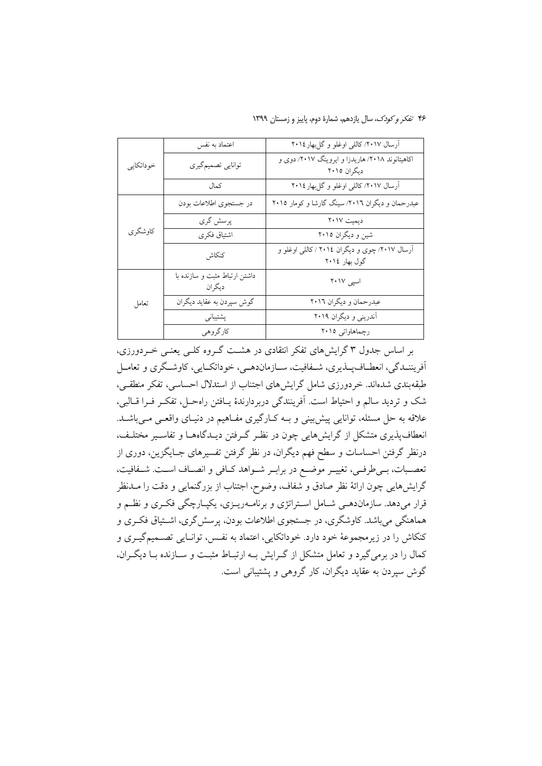۴۶ تفکر و کودک، سال یازدهم، شمارهٔ دوم، پاییز و زمستان ۱۳۹۹

|           | اعتماد به نفس                           | آرسال ٢٠١٧/ كاللي اوغلو وكلبهار ٢٠١٤                           |
|-----------|-----------------------------------------|----------------------------------------------------------------|
| خوداتكايي | توانايي تصميم گيري                      | اکاهیتانوند ۲۰۱۸/ هاریدزا و ایروینگ ۲۰۱۷/ دوی و<br>دیگران ۲۰۱۵ |
|           | كمال                                    | آرسال ۲۰۱۷/ کاللی اوغلو و گلبهار ۲۰۱٤                          |
|           | در جستجوى اطلاعات بودن                  | عبدرحمان و دیگران ٢٠١٦/ سینگ گارشا و کومار ٢٠١٥                |
| کاوشگر ی  | پرسش گري                                | ديميت ٢٠١٧                                                     |
|           | اشتياق فكرى                             | شین و دیگران ۲۰۱۵                                              |
|           | كنكاش                                   | آرسال ۲۰۱۷/ چوی و دیگران ۲۰۱٤ / کاللی اوغلو و<br>گول بهار ۲۰۱٤ |
|           | داشتن ارتباط مثبت و سازنده با<br>ديگران | اسیی ۲۰۱۷                                                      |
| تعامل     | گوش سپردن به عقاید دیگران               | عبدرحمان و دیگران ٢٠١٦                                         |
|           | پشتیبانی                                | آندرینی و دیگران ۲۰۱۹                                          |
|           | كارگروهي                                | رچماهاواتی ۲۰۱۵                                                |

بر اساس جدول ۳ گرایشهای تفکر انتقادی در هشت گـروه کلـی یعنـی خـردورزی، آفريننــدگي، انعطــاف1يــذيري، شــفافيت، ســازماندهــي، خوداتكــايي، كاوشــگري و تعامــل طبقهبندی شدهاند. خردورزی شامل گرایش های اجتناب از استدلال احساسی، تفکر منطقبی، شک و تردید سالم و احتیاط است. آفرینندگی دربردارندهٔ یـافتن راهحـل، تفکـر فـرا قـالبی، علاقه به حل مسئله، توانایی پیش بینی و بـه کـارگیری مفـاهیم در دنیـای واقعـی مـی.باشــد. انعطاف پذیری متشکل از گرایش هایی چون در نظـر گـرفتن دیـدگاههــا و تفاســیر مختلـف، درنظر گرفتن احساسات و سطح فهم دیگران، در نظر گرفتن تفسیرهای جـایگزین، دوری از تعصـبات، بـيطرفـي، تغييـر موضـع در برابـر شـواهد كـافي و انصـاف اسـت. شـفافيت، گرایشهایی چون ارائهٔ نظر صادق و شفاف، وضوح، اجتناب از بزرگنمایی و دقت را مــدنظر قرار میدهد. سازماندهـی شـامل اسـتراتژی و برنامــهریــزی، یکیــارچگی فکــری و نظــم و هماهنگی می باشد. کاوشگری، در جستجوی اطلاعات بودن، پرسش گری، اشــتیاق فکـری و کنکاش را در زیرمجموعهٔ خود دارد. خوداتکایی، اعتماد به نفس، توانـایی تصــمیمگیـری و کمال را در برمیگیرد و تعامل متشکل از گــرایش بــه ارتبــاط مثبــت و ســازنده بــا دیگــران، گوش سپردن به عقاید دیگران، کار گروهی و پشتیبانی است.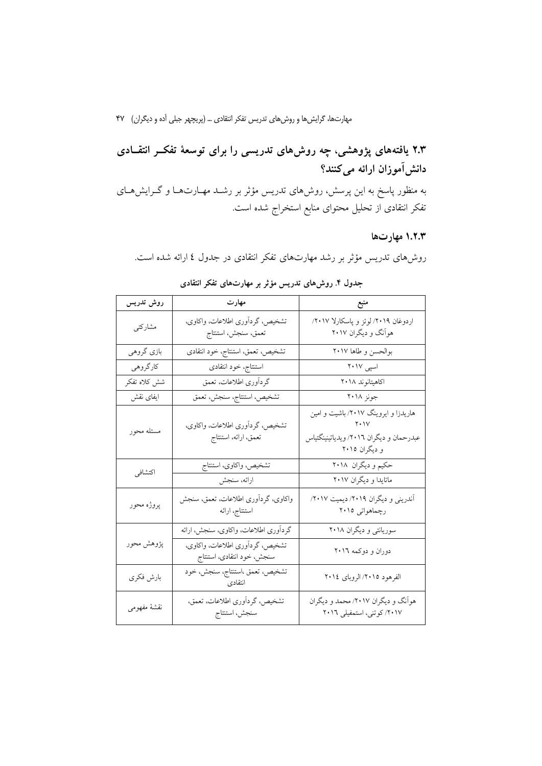# ۲.۳ یافتههای پژوهشی، چه روشهای تدریسی را برای توسعهٔ تفکــر انتقــادی دانش[موزان ارائه میکنند؟

به منظور پاسخ به این پرسش، روش،ای تدریس مؤثر بر رشـد مهـارتهـا و گـرایش،ای تفکر انتقادی از تحلیل محتوای منابع استخراج شده است.

### ۱.۲.۳ مهارتها

روشهای تدریس مؤثر بر رشد مهارتهای تفکر انتقادی در جدول ٤ ارائه شده است.

| روش تدريس    | مهارت                                                         |                                                                                                  |
|--------------|---------------------------------------------------------------|--------------------------------------------------------------------------------------------------|
| مشاركتي      | تشخیص، گردآوری اطلاعات، واکاوی،<br>تعمق، سنجش، استنتاج        | اردوغان ٢٠١٩/ لوئز و پاسکارلا ٢٠١٧/<br>هواّنگ و دیگران ۲۰۱۷                                      |
| بازي گروهي   | تشخيص، تعمق، استنتاج، خود انتقادى                             | بوالحسن وطاها ٢٠١٧                                                                               |
| كارگروهي     | استنتاج، خود انتقادى                                          | اسپی ۲۰۱۷                                                                                        |
| شش كلاه تفكر | گردآوری اطلاعات، تعمق                                         | اكاهيتانوند ٢٠١٨                                                                                 |
| ايفاى نقش    | تشخيص، استنتاج، سنجش، تعمق                                    | جونز ۲۰۱۸                                                                                        |
| مسئله محور   | تشخیص، گرداَوری اطلاعات، واکاوی،<br>تعمق، ارائه، استنتاج      | هاریدزا و ایروینگ ۲۰۱۷/ باشیت و امین<br>عبدرحمان و دیگران ۲۰۱٦/ ویدیاتینینگتیاس<br>و دیگران ۲۰۱۵ |
| اكتشافي      | تشخيص، واكاوي، استنتاج<br>ارائه، سنجش                         | حکیم و دیگران ۲۰۱۸<br>ماتایدا و دیگران ۲۰۱۷                                                      |
| پروژه محور   | واكاوى، گردآورى اطلاعات، تعمق، سنجش<br>استنتاج، ارائه         | آندرینی و دیگران ۲۰۱۹/ دیمیت ۲۰۱۷/<br>رچماهواتی ۲۰۱۵                                             |
|              | گردآوري اطلاعات، واكاوي، سنجش، ارائه                          | سوریانتی و دیگران ۲۰۱۸                                                                           |
| پژوهش محور   | تشخیص، گردآوری اطلاعات، واکاوی،<br>سنجش، خود انتقادى، استنتاج | دوران و دوکمه ۲۰۱٦                                                                               |
| بارش فكرى    | تشخيص، تعمق ،استنتاج، سنجش، خود<br>انتقادى                    | الفرهود ٢٠١٥/ الروباي ٢٠١٤                                                                       |
| نقشهٔ مفهومی | تشخيص، گرداَوري اطلاعات، تعمق،<br>سنجش، استنتاج               | هواّنگ و دیگران ۲۰۱۷/ محمد و دیگران<br>۲۰۱۷/ کوتنی، استمفیلی ۲۰۱٦                                |

### جدول ۴. روشهای تدریس مؤثر بر مهارتهای تفکر انتقادی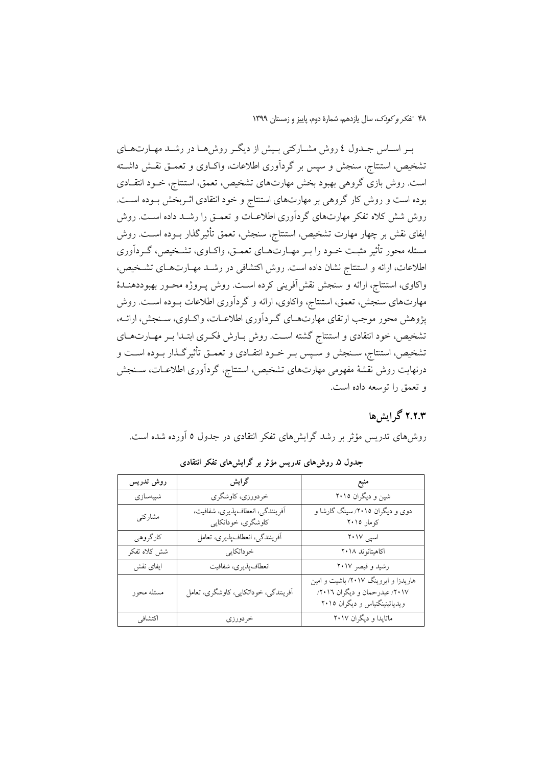بـر اسـاس جـدول ٤ روش مشــاركتي بـيش از ديگــر روش٥مــا در رشــد مهــارتهــاي تشخیص، استنتاج، سنجش و سپس بر گردآوری اطلاعات، واکIوی و تعمـق نقـش داشـته است. روش بازی گروهی بهبود بخش مهارتهای تشخیص، تعمق، استنتاج، خـود انتقـادی بوده است و روش کار گروهی بر مهارتهای استنتاج و خود انتقادی اثـربخش بـوده اسـت. روش شش کلاه تفکر مهارتهای گردآوری اطلاعـات و تعمـق را رشـد داده اسـت. روش ایفای نقش بر چهار مهارت تشخیص، استنتاج، سنجش، تعمق تأثیرگذار بــوده اســت. روش مسئله محور تأثیر مثبت خـود را بـر مهـارتهـاي تعمـق، واكـاوي، تشـخيص، گـردآوري اطلاعات، ارائه و استنتاج نشان داده است. روش اکتشافی در رشــد مهــارتهــای تشــخیص، واکاوی، استنتاج، ارائه و سنجش نقش[فرینی کرده اسـت. روش پــروژه محــور بهبوددهنــدهٔ مهارتهای سنجش، تعمق، استنتاج، واکاوی، ارائه و گردآوری اطلاعات بــوده اســت. روش پژوهش محور موجب ارتقاي مهارتهـاي گـرداَوري اطلاعـات، واكـاوي، سـنجش، ارائـه، تشخیص، خود انتقادی و استنتاج گشته است. روش بـارش فکـری ابتـدا بـر مهـارتهـای تشخیص، استنتاج، ســنجش و ســپس بــر خــود انتقــادی و تعمــق تأثیرگــذار بــوده اســت و درنهايت روش نقشهٔ مفهومي مهارتهاي تشخيص، استنتاج، گردآوري اطلاعــات، ســنجش و تعمق را توسعه داده است.

# ۲.۲.۳ گرایشها

روشهای تدریس مؤثر بر رشد گرایشهای تفکر انتقادی در جدول ٥ آورده شده است.

| روش تدريس    | گرايش                                                 | منبع                                                                                                   |
|--------------|-------------------------------------------------------|--------------------------------------------------------------------------------------------------------|
| شبيەسازى     | خردورزي، كاوشگرى                                      | شین و دیگران ۲۰۱۵                                                                                      |
| مشاركتي      | أفرينندگي، انعطافپذيري، شفافيت،<br>كاوشگرى، خوداتكايي | دوی و دیگران ۲۰۱۵/ سینگ گارشا و<br>کومار ۲۰۱۵                                                          |
| كارگروهي     | أفرينندگي، انعطافپذيري، تعامل                         | اسپی ۲۰۱۷                                                                                              |
| شش كلاه تفكر | خوداتكايي                                             | اكاهيتانوند ٢٠١٨                                                                                       |
| ايفاى نقش    | انعطاف پذيري، شفافيت                                  | رشید و قیصر ۲۰۱۷                                                                                       |
| مسئله محور   | آفرینندگی، خوداتکایی، کاوشگری، تعامل                  | هاریدزا و ایروینگ ۲۰۱۷/ باشیت و امین<br>۲۰۱۷/ عبدرحمان و دیگران ۲۰۱٦/<br>ویدیاتینینگتیاس و دیگران ۲۰۱۵ |
| اكتشافي      | خردورزي                                               | ماتايدا و ديگران ٢٠١٧                                                                                  |

جدول ۵ـ روش های تدریس مؤثر بر گرایش های تفکر انتقادی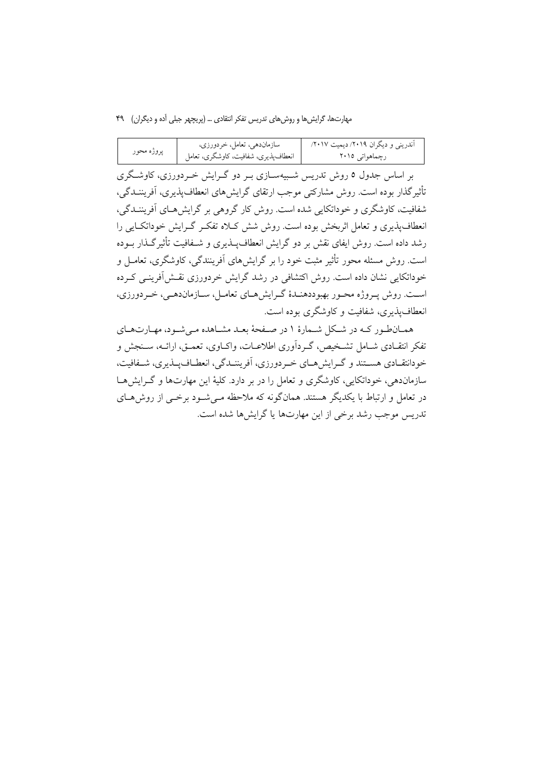|            | سازماندهی، تعامل، خردورزی،             | آندرینی و دیگران ۲۰۱۹/ دیمیت ۲۰۱۷/ |
|------------|----------------------------------------|------------------------------------|
| پروژه محور | ا انعطاف،پذیری، شفافیت، کاوشگری، تعامل | رچماهوات <sub>ی</sub> ۲۰۱۵         |

بر اساس جدول ٥ روش تدریس شـبیهســازی بــر دو گــرایش خــردورزی، کاوشــگری تأثیرگذار بوده است. روش مشارکتی موجب ارتقای گرایش های انعطافپذیری، آفریننــدگی، شفافیت، کاوشگری و خوداتکایی شده است. روش کار گروهی بر گرایش هـای اَفریننــدگی، انعطاف پذیری و تعامل اثربخش بوده است. روش شش کلاه تفکیر گیرایش خوداتکیایی را رشد داده است. روش ایفای نقش بر دو گرایش انعطاف پــذیری و شــفافیت تأثیرگــذار بــوده است. روش مسئله محور تأثیر مثبت خود را بر گرایشهای آفرینندگی، کاوشگری، تعامـل و خوداتکایی نشان داده است. روش اکتشافی در رشد گرایش خردورزی نقش آفرینبی کـرده است. روش په وژه محبور بهبوددهنـدۀ گـرايش١صاي تعامـل، ســازماندهـي، خـر دورزي، انعطاف پذیری، شفافیت و کاوشگری بوده است.

همـانطور كـه در شـكل شـمارهٔ ۱ در صـفحهٔ بعـد مشـاهده مـىشـود، مهـارتهـاي تفکر انتقـادی شـامل تشـخیص، گـردآوری اطلاعـات، واکــاوی، تعمــق، ارائــه، ســنجش و خودانتقــادي هســتند و گــرايش&ــاي خــردورزي، أفريننــدگي، انعطــافيــذيري، شــفافيت، سازماندهی، خوداتکایی، کاوشگری و تعامل را در بر دارد. کلیهٔ این مهارتها و گـرایشهـا در تعامل و ارتباط با یکدیگر هستند. همانگونه که ملاحظه مـیشـود برخـی از روش۵حـای تدریس موجب رشد برخی از این مهارتها یا گرایش ها شده است.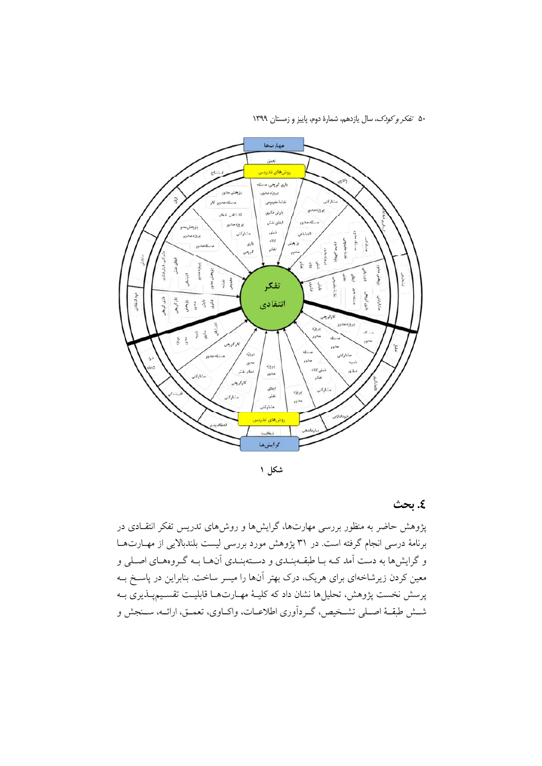

شکل ۱

٤. بحث

پژوهش حاضر به منظور بررسی مهارتها، گرایشها و روشهای تدریس تفکر انتقـادی در برنامهٔ درسی انجام گرفته است. در ۳۱ پژوهش مورد بررسی لیست بلندبالایی از مهـارتهـا و گرایشها به دست آمد کـه بـا طبقــهبنـدي و دســتهبنـدي آنهـا بــه گـروههـاي اصـلي و معین کردن زیرشاخهای برای هریک، درک بهتر آنها را میسر ساخت. بنابراین در پاسـخ بــه پرسش نخست پژوهش، تحلیلها نشان داد که کلیـهٔ مهـارتهـا قابلیـت تقسـیمپـذیری بـه شـش طبقـهٔ اصـلي تشـخيص، گـرداّوري اطلاعـات، واكـاوي، تعمـق، ارائـه، سـنجش و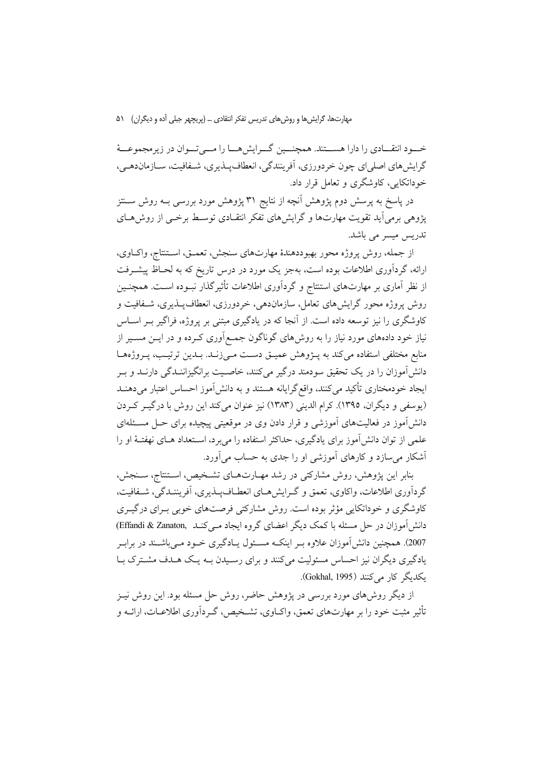خسود انتقــادي را دارا هســـتند. همچنـــين گــرايشهـــا را مـــي تــوان در زيرمجموعـــهٔ گرايش هاي اصلي اي چون خردورزي، آفرينندگي، انعطاف پـــذيري، شــفافيت، ســازمان١هــي، خوداتکایی، کاوشگری و تعامل قرار داد.

در پاسخ به پرسش دوم پژوهش آنچه از نتایج ۳۱ پژوهش مورد بررسی بــه روش ســـنتز یژوهی برمی اَید تقویت مهارتها و گرایشهای تفکر انتقـادی توسـط برخــی از روش۵حـای تدریس میسر می باشد.

از جمله، روش پروژه محور بهبوددهندهٔ مهارتهای سنجش، تعمـق، اسـتنتاج، واكـاوي، ارائه، گردآوری اطلاعات بوده است، بهجز یک مورد در درس تاریخ که به لحـاظ پیشـرفت از نظر آماری بر مهارتهای استنتاج و گردآوری اطلاعات تأثیر گذار نبـوده اسـت. همچنـین روش پروژه محور گرایش های تعامل، سازمان دهی، خردورزی، انعطاف پیذیری، شیفافیت و کاوشگری را نیز توسعه داده است. از آنجا که در یادگیری مبتنی بر پروژه، فراگیر بــر اســاس نیاز خود دادههای مورد نیاز را به روشهای گوناگون جمعآوری کـرده و در ایــن مســیر از منابع مختلفی استفاده می کند به پــژوهش عمیــق دســت مــی(نــد. بــدین ترتیــب، پــروژههــا دانشآموزان را در یک تحقیق سودمند درگیر میکنند، خاصـیت برانگیزاننـدگی دارنــد و بــر ایجاد خودمختاری تأکید میکنند، واقع گرایانه هستند و به دانش آموز احساس اعتبار میدهنـد (يوسفي و ديگران، ١٣٩٥). كرام الديني (١٣٨٣) نيز عنوان مي كند اين روش با درگيـر كـردن دانش آموز در فعالیتهای آموزشی و قرار دادن وی در موقعیتی پیچیده برای حــل مســئلهای علمی از توان دانش آموز برای یادگیری، حداکثر استفاده را می برد، اسـتعداد هــای نهفتــهٔ او را أشکار می سازد و کارهای آموزشی او را جدی به حساب می آورد.

بنابر این پژوهش، روش مشارکتی در رشد مهـارتهـای تشـخیص، اسـتنتاج، سـنجش، گردآوری اطلاعات، واکاوی، تعمق و گـرایشهــای انعطــافپــذیری، آفریننــدگی، شــفافیت، کاوشگری و خوداتکایی مؤثر بوده است. روش مشارکتی فرصتهای خوبی بـرای درگیــری دانش آموزان در حل مسئله با کمک دیگر اعضای گروه ایجاد مـی کنــد (Effandi & Zanaton, 2007). همچنین دانش آموزان علاوه بـر اینکـه مسـئول پــادگیری خــود مــی باشــند در برابـر یادگیری دیگران نیز احساس مسئولیت میکنند و برای رسیدن بـه یـک هـدف مشـترک بـا یکدیگر کار مے کنند (Gokhal, 1995).

از دیگر روش های مورد بررسی در پژوهش حاضر، روش حل مسئله بود. این روش نیـز تأثیر مثبت خود را بر مهارتهای تعمق، واکــاوی، تشــخیص، گــردآوری اطلاعــات، ارائــه و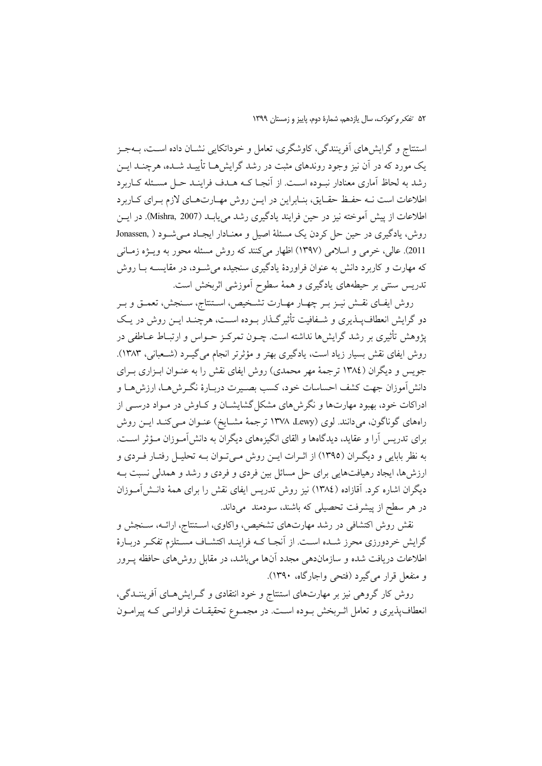استنتاج و گرایشهای آفرینندگی، کاوشگری، تعامل و خوداتکایی نشــان داده اســت، بــهجــز یک مورد که در آن نیز وجود روندهای مثبت در رشد گرایش هــا تأییــد شــده، هرچنــد ایــن رشد به لحاظ آماری معنادار نبوده است. از آنجـا کــه هــدف فراینــد حــل مسـئله کــاربرد اطلاعات است نــه حفـظ حقـايق، بنــابراين در ايــن روش مهــارتهــاي لازم بــراي كــاربرد اطلاعات از پیش آموخته نیز در حین فرایند یادگیری رشد می یابـد (Mishra, 2007). در ایــن روش، یادگیری در حین حل کردن یک مسئلهٔ اصیل و معنـادار ایجـاد مـی شـود ( ,Jonassen 2011). عالمي، خرمي و اسلامي (١٣٩٧) اظهار مي كنند كه روش مسئله محور به ويــــزه زمــاني که مهارت و کاربرد دانش به عنوان فراوردهٔ یادگیری سنجیده می شــود، در مقایســه بــا روش تدریس سنتی بر حیطههای یادگیری و همهٔ سطوح آموزشی اثربخش است.

روش ايفـاي نقـش نيـز بـر چهـار مهـارت تشـخيص، اسـتنتاج، سـنجش، تعمـق و بـر دو گرایش انعطاف پیذیری و شـفافیت تأثیرگـذار بـوده اسـت، هرچنـد ایــن روش در یـک پژوهش تأثیری بر رشد گرایشها نداشته است. چــون تمرکــز حــواس و ارتبــاط عــاطفی در روش ایفای نقش بسیار زیاد است، یادگیری بهتر و مؤثرتر انجام میگیرد (شعبانی، ۱۳۸۳). جویس و دیگران (١٣٨٤ ترجمهٔ مهر محمدي) روش ايفاي نقش را به عنـوان ابـزاري بـراي دانش|موزان جهت كشف احساسات خود، كسب بصـيرت دربـارهٔ نگـرش۵مـا، ارزش۵مـا و ادراکات خود، بهبود مهارتها و نگرش های مشکل گشایشـان و کــاوش در مــواد درســی از راههای گوناگون، میدانند. لوی (Lewy ،Lewy ترجمهٔ مشــایخ) عنــوان مــیکنــد ایــن روش برای تدریس آرا و عقاید، دیدگاهها و القای انگیزههای دیگران به دانش آمـوزان مـؤثر اسـت. به نظر بابایی و دیگـران (۱۳۹۵) از اثـرات ایــن روش مــی تــوان بــه تحلیــل رفتــار فــردی و ارزش۵ما، ایجاد رهیافتهایی برای حل مسائل بین فردی و فردی و رشد و همدلی نسبت بـه دیگران اشاره کرد. آقازاده (١٣٨٤) نیز روش تدریس ایفای نقش را برای همهٔ دانـش|مـوزان در هر سطح از پیشرفت تحصیلی که باشند، سودمند میداند.

نقش روش اکتشافی در رشد مهارتهای تشخیص، واکاوی، اسـتنتاج، ارائـه، سـنجش و گرایش خردورزی محرز شـده اسـت. از آنجـا کــه فراینــد اکتشــاف مســتلزم تفکــر دربــارهٔ اطلاعات دریافت شده و سازماندهی مجدد آنها میباشد، در مقابل روشهای حافظه پــرور و منفعل قرار مي گيرد (فتحي واجارگاه، ١٣٩٠).

روش کار گروهی نیز بر مهارتهای استنتاج و خود انتقادی و گـرایشهـای اَفریننــدگی، انعطافپذیری و تعامل اثـربخش بـوده اسـت. در مجمـوع تحقیقـات فراوانـبی کـه پیرامـون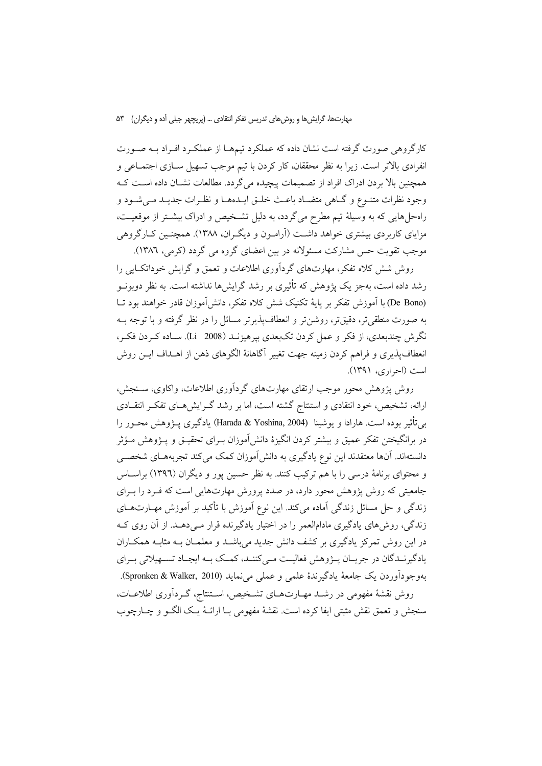کارگروهی صورت گرفته است نشان داده که عملکرد تیمهـا از عملکـرد افـراد بـه صـورت انفرادي بالاتر است. زيرا به نظر محققان، كار كردن با تيم موجب تسهيل ســازي اجتمــاعي و همچنین بالا بردن ادراک افراد از تصمیمات پیچیده می گردد. مطالعات نشـان داده اسـت کـه وجود نظرات متنـوع و گــاهي متضــاد باعــث خلــق ايــدهمــا و نظـرات جديــد مــي شــود و راهحلهایی که به وسیلهٔ تیم مطرح میگردد، به دلیل تشخیص و ادراک بیشتر از موقعیت، مزایای کاربردی بیشتری خواهد داشت (اَرامـون و دیگـران، ۱۳۸۸). همچنـین کــارگروهی موجب تقویت حس مشارکت مسئولانه در بین اعضای گروه می گردد (کرمی، ۱۳۸٦).

روش شش کلاه تفکر، مهارتهای گردآوری اطلاعات و تعمق و گرایش خوداتک ایی را رشد داده است، بهجز یک پژوهش که تأثیری بر رشد گرایش ها نداشته است. به نظر دویونسو (De Bono) با اَموزش تفکر بر پایهٔ تکنیک شش کلاه تفکر، دانش اَموزان قادر خواهند بود تــا به صورت منطقی تر، دقیق تر، روشن تر و انعطاف پذیر تر مسائل را در نظر گرفته و با توجه بـه نگرش چندبعدی، از فکر و عمل کردن تکبعدی بپرهیزنــد (Li 2008). ســاده کــردن فکــر، انعطاف پذیری و فراهم کردن زمینه جهت تغییر آگاهانهٔ الگوهای ذهن از اهــداف ایــن روش است (احراري، ١٣٩١).

روش پژوهش محور موجب ارتقای مهارتهای گردآوری اطلاعات، واکاوی، سنجش، ارائه، تشخیص، خود انتقادی و استنتاج گشته است، اما بر رشد گـرایشهـای تفکـر انتقـادی بي تأثير بوده است. هارادا و يوشينا (Harada & Yoshina, 2004) يادگيري پـــژوهش محــور را در برانگیختن تفکر عمیق و بیشتر کردن انگیزهٔ دانش[موزان بـرای تحقیــق و پــژوهش مــؤثر دانستهاند. آنها معتقدند این نوع یادگیری به دانش[موزان کمک میکند تجربههـای شخصـی و محتوای برنامهٔ درسی را با هم ترکیب کنند. به نظر حسین پور و دیگران (۱۳۹٦) براسـاس جامعیتی که روش پژوهش محور دارد، در صدد پرورش مهارتهایی است که فـرد را بـرای زندگی و حل مسائل زندگی آماده میکند. این نوع آموزش با تأکید بر آموزش مهــارتهــای زندگی، روشهای یادگیری مادامالعمر را در اختیار یادگیرنده قرار مـیدهـد. از آن روی کـه در این روش تمرکز یادگیری بر کشف دانش جدید میباشــد و معلمــان بــه مثابــه همکــاران یادگیرنــدگان در جریــان پـــژوهش فعالیــت مــی کننــد، کمــک بــه ایجــاد تســهیلاتی بــرای بهوجوداًوردن يك جامعة يادگيرندة علمي و عملي مي نمايد (Spronken & Walker, 2010). روش نقشهٔ مفهومی در رشـد مهـارتهـای تشـخیص، اسـتنتاج، گـردآوری اطلاعـات، سنجش و تعمق نقش مثبتي ايفا كرده است. نقشهٔ مفهومي بــا ارائــهٔ يــک الگــو و چــارچوب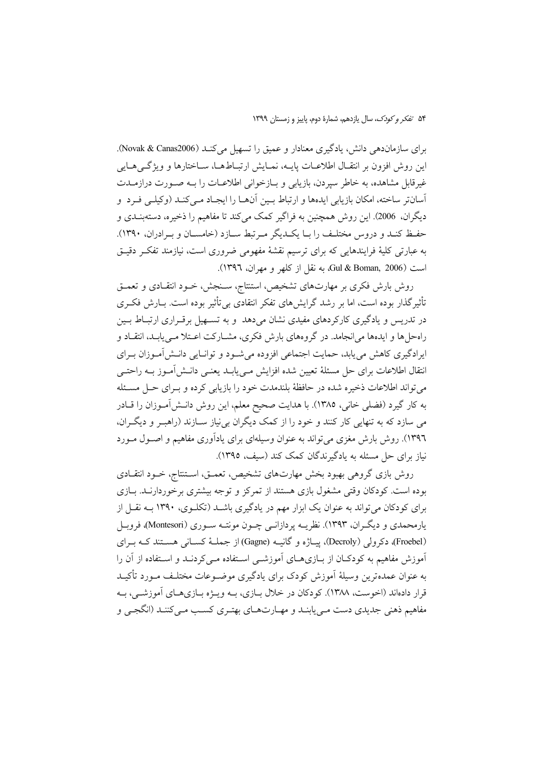برای سازمان دهی دانش، یادگیری معنادار و عمیق را تسهیل می کنـد (Novak & Canas2006). این روش افزون بر انتقـال اطلاعـات پایــه، نمـایش ارتبـاطـهــا، ســاختارها و ویژگــیهــایی غیرقابل مشاهده، به خاطر سیردن، بازیابی و بـازخوانی اطلاعـات را بـه صـورت درازمـدت آسانتر ساخته، امکان بازیابی ایدهها و ارتباط بـین آنهـا را ایجـاد مـی کنـد (وکیلـی فـرد و دیگران. 2006). این روش همچنین به فراگیر کمک میکند تا مفاهیم را ذخیره، دستهبنــدی و حفظ کنـد و دروس مختلـف را بـا يکـديگر مـرتبط سـازد (خامسـان و بـرادران، ١٣٩٠). به عبارتی کلیهٔ فرایندهایی که برای ترسیم نقشهٔ مفهومی ضروری است، نیازمند تفک ردقیـق است Gul & Boman, 2006) به نقل از کلهر و مهران، ١٣٩٦).

روش بارش فکری بر مهارتهای تشخیص، استنتاج، سـنجش، خـود انتقـادی و تعمـق تأثیر گذار بوده است، اما بر رشد گرایش های تفکر انتقادی بی تأثیر بوده است. بــارش فکــری در تدریس و یادگیری کارکردهای مفیدی نشان میدهد و به تسـهیل برقـراری ارتبـاط بـین راهحلها و ایدهها میانجامد. در گروههای بارش فکری، مشـارکت اعـتلا مـییابـد، انتقـاد و ایرادگیری کاهش می یابد، حمایت اجتماعی افزوده می شـود و توانـایی دانـش[مـوزان بـرای انتقال اطلاعات برای حل مسئلهٔ تعیین شده افزایش مـییابـد یعنـی دانـش[مـوز بــه راحتـی می تواند اطلاعات ذخیره شده در حافظهٔ بلندمدت خود را بازیابی کرده و بـرای حـل مسـئله به کار گیرد (فضلی خانی، ۱۳۸۵). با هدایت صحیح معلم، این روش دانـش|مـوزان را قــادر می سازد که به تنهایی کار کنند و خود را از کمک دیگران بی نیاز سـازند (راهبـر و دیگـران، ۱۳۹٦). روش بارش مغزی می تواند به عنوان وسیلهای برای یادآوری مفاهیم و اصـول مـورد نیاز برای حل مسئله به یادگیرندگان کمک کند (سیف، ۱۳۹۵).

روش بازی گروهی بهبود بخش مهارتهای تشخیص، تعمـق، اسـتنتاج، خـود انتقــادی بوده است. کودکان وقتی مشغول بازی هستند از تمرکز و توجه بیشتری برخوردارنـد. بـازی برای کودکان می تواند به عنوان یک ابزار مهم در یادگیری باشـد (تکلـوی، ۱۳۹۰ بـه نقـل از یارمحمدی و دیگران، ۱۳۹۳). نظریــه پردازانــی چــون مونتــه ســوری (Montesori)، فروبــل (Froebel)، دکرولی (Decroly)، پیاژه و گانیـه (Gagne) از جملـهٔ کسـانی هسـتند کـه بـرای آموزش مفاهیم به کودکـان از بــازیِهــای آموزشــی اســتفاده مــی کردنــد و اســتفاده از آن را به عنوان عمدهترین وسیلهٔ آموزش کودک برای یادگیری موضــوعات مختلــف مــورد تأکیــد قرار دادهاند (اخوست، ۱۳۸۸). کودکان در خلال بـازی، بــه ویــژه بــازیهــای آموزشــی، بــه مفاهيم ذهني جديدي دست مـي يابنـد و مهــارتهــاي بهتـري كســب مـي كننـد (انگجــي و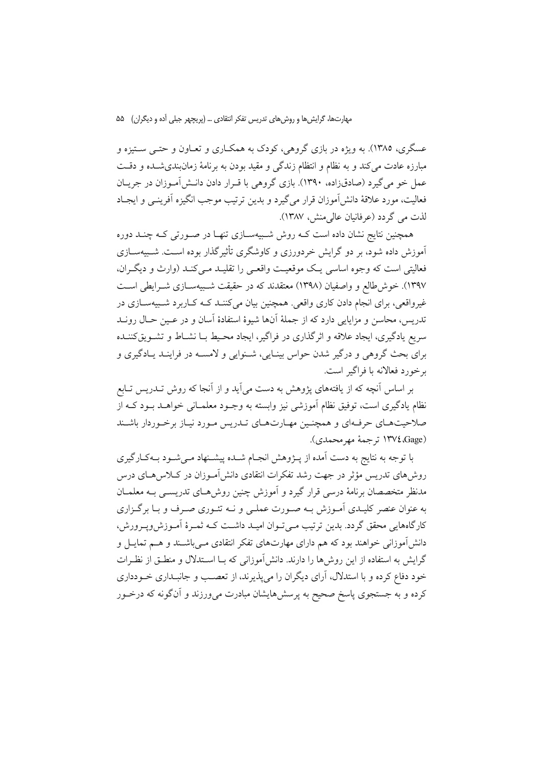عسگري، ١٣٨٥). به ويژه در بازي گروهي، كودك به همكـاري و تعـاون و حتـي سـتيزه و مبارزه عادت میکند و به نظام و انتظام زندگی و مقید بودن به برنامهٔ زمانبندیشــده و دقــت عمل خو می گیرد (صادقزاده، ۱۳۹۰). بازی گروهی با قـرار دادن دانـش[مـوزان در جریــان فعاليت، مورد علاقهٔ دانش اَموزان قرار مي گيرد و بدين ترتيب موجب انگيزه اَفرينـي و ايجـاد لذت مي گردد (عرفانيان عالي منش، ١٣٨٧).

همچنین نتایج نشان داده است کـه روش شـبیهسـازی تنهـا در صـورتی کـه چنـد دوره آموزش داده شود، بر دو گرایش خردورزی و کاوشگری تأثیرگذار بوده اسـت. شـبیهســازی فعالیتی است که وجوه اساسی یـک موقعیـت واقعـی را تقلیـد مـیکنـد (وارث و دیگـران، ۱۳۹۷). خوش طالع و واصفیان (۱۳۹۸) معتقدند که در حقیقت شـبیهســازی شــرایطی اســت غیرواقعی، برای انجام دادن کاری واقعی. همچنین بیان می کننــد کــه کــاربرد شــبیهســازی در تدريس، محاسن و مزايايي دارد كه از جملهٔ آنها شيوهٔ استفادهٔ آسان و در عـين حـال رونــد سریع یادگیری، ایجاد علاقه و اثرگذاری در فراگیر، ایجاد محـیط بــا نشــاط و تشــویقکننــده برای بحث گروهی و درگیر شدن حواس بینـایی، شـنوایی و لامســه در فراینــد یــادگیری و برخورد فعالانه با فراگیر است.

بر اساس آنچه که از یافتههای پژوهش به دست می آید و از آنجا که روش تــدریس تـابع نظام یادگیری است، توفیق نظام آموزشی نیز وابسته به وجـود معلمـانی خواهــد بــود کــه از صلاحیتهای حرفهای و همچنین مهبارتهای تبدریس مبورد نیباز برخبوردار باشیند (Gage)، ١٣٧٤ تر جمة مهر محمدي).

با توجه به نتایج به دست آمده از پـژوهش انجـام شـده پیشـنهاد مـی شـود بـهکـارگیری روشهای تدریس مؤثر در جهت رشد تفکرات انتقادی دانش آمـوزان در کــلاس۵هــای درس مدنظر متخصصان برنامهٔ درسی قرار گیرد و آموزش چنین روش۵صای تدریســی بــه معلمــان به عنوان عنصر کلیـدی آمـوزش بـه صـورت عملـی و نــه تئـوری صـرف و بـا برگـزاری کارگاههایی محقق گردد. بدین ترتیب مـی تـوان امیـد داشـت کـه ثمـرهٔ آمـوزش،ویـرورش، دانش آموزانی خواهند بود که هم دارای مهارتهای تفکر انتقادی مبی باشـند و هــم تمایــل و گرایش به استفاده از این روش ها را دارند. دانش آموزانی که بـا اسـتدلال و منطـق از نظـرات خود دفاع کرده و با استدلال، آرای دیگران را می پذیرند، از تعصب و جانبـداری خـودداری کرده و به جستجوی پاسخ صحیح به پرسشهایشان مبادرت میeرزند و آنگونه که درخــور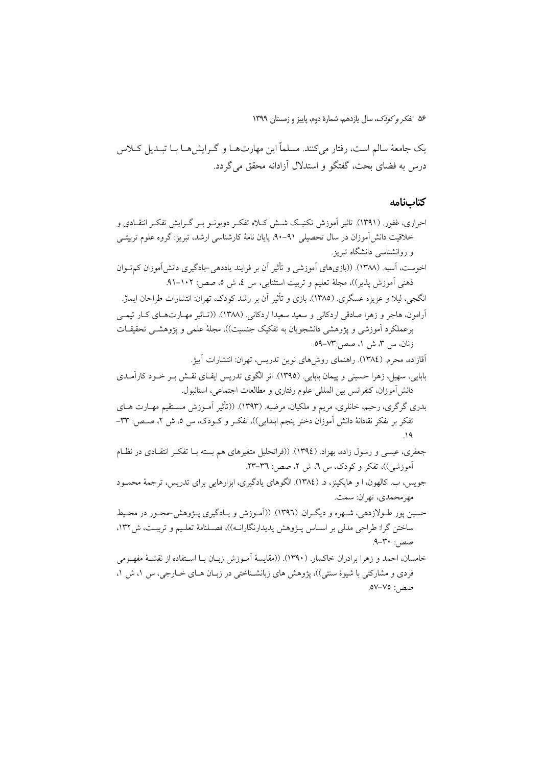یک جامعهٔ سالم است، رفتار میکنند. مسلماً این مهارتهـا و گـرایشهـا بـا تبـدیل کــلاس درس به فضای بحث، گفتگو و استدلال آزادانه محقق میگردد.

# كتابنامه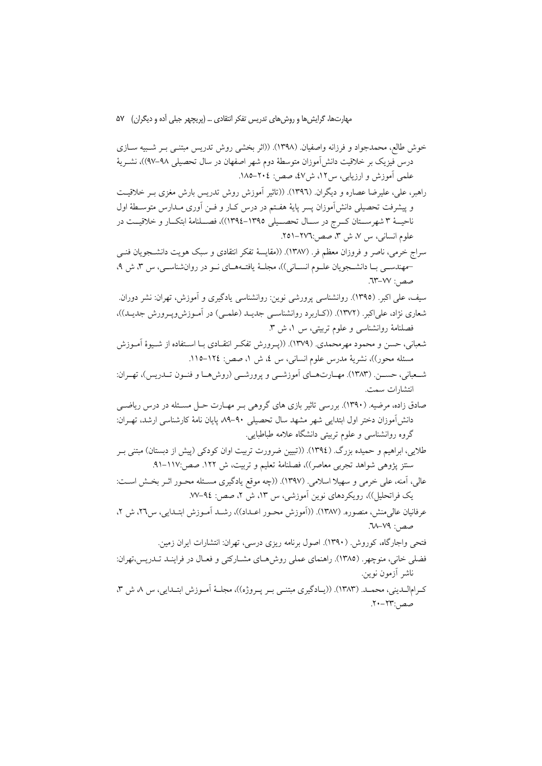خوش طالع، محمدجواد و فرزانه واصفيان. (١٣٩٨). ((اثر بخشي روش تدريس مبتنبي بـر شـبيه ســازي درس فيزيک بر خلاقيت دانش[موزان متوسطهٔ دوم شهر اصفهان در سال تحصيلي ٩٨–٩٧))، نشــريهٔ علمی آموزش و ارزیابی، س۱۲، ش۷، صص: ۲۰٤–۱۸۵. راهبر، علي، عليرضا عصاره و ديگران. (١٣٩٦). ((تاثير أموزش روش تدريس بارش مغزى بـر خلاقيـت و پیشرفت تحصیلی دانش[موزان پسر پایهٔ هفـتم در درس کـار و فـن آوری مـدارس متوسـطهٔ اول ناحيــهٔ ۳ شهرســتان كــرج در ســال تحصــيلي ١٣٩٥–١٣٩٤))، فصــلنامهٔ ابتكــار و خلاقيــت در علوم انسانی، س ۷، ش ۳، صص:۲۷٦–۲۵۱. سراج خرمي، ناصر و فروزان معظم فر. (١٣٨٧). ((مقايسهٔ تفكر انتقادي و سبك هويت دانشـجويان فنـي حمهندسـی بـا دانشـجویان علـوم انسـانی))، مجلـهٔ یافتـههـای نـو در روانشناسـی، س ٣، ش ٩، صص: ٧٧-٦٣. سیف، علی اکبر. (۱۳۹۵). روانشناسی پرورشی نوین: روانشناسی یادگیری و آموزش، تهران: نشر دوران. شعاري نژاد، علي|کبر . (١٣٧٢). ((کــاربر د روانشناســي جديــد (علمــي) در آمــوزش ويــرورش جديــد))، فصلنامهٔ روانشناسی و علوم تربیتی، س ۱، ش ۳. شعبانی، حسن و محمود مهرمحمدی. (۱۳۷۹). ((پـرورش تفکـر انتقـادی بـا اسـتفاده از شـيوهٔ آمـوزش مسئله محور))، نشريهٔ مدرس علوم انسانی، س ٤، ش ١، صص: ١٢٤–١١٥. شـعباني، حســـن. (١٣٨٣). مهــارتهــاي آموزشـــي و يرورشـــي (روش&ــا و فنــون تـــدريس)، تهــران: انتشارات سمت. صادق زاده، مرضیه. (۱۳۹۰). بررسی تاثیر بازی های گروهی بـر مهـارت حـل مسـئله در درس ریاضــی دانش[موزان دختر اول ابتدایی شهر مشهد سال تحصیلی ۹۰–۸۹ یایان نامهٔ کارشناسی ارشد، تهـران: گروه روانشناسی و علوم تربیتی دانشگاه علامه طباطبایی. طلایی، ابراهیم و حمیده بزرگ. (١٣٩٤). ((تبیین ضرورت تربیت اوان کودکی (پیش از دبستان) مبتنی بـر سنتز پژوهی شواهد تجربی معاصر))، فصلنامهٔ تعلیم و تربیت، ش ۱۲۲. صص:۱۱۷-۹۱. عالي، آمنه، علي خرمي و سهيلا اسلامي. (١٣٩٧). ((چه موقع يادگيري مسـئله محـور اثـر بخـش اسـت: یک فراتحلیل))، رویکردهای نوین آموزشی، س ۱۳، ش ۲، صص: ۹٤–۷۷. عرفانيان عالمي منش، منصوره. (١٣٨٧). ((أموزش محـور اعـداد))، رشـد أمـوزش ابتـدايي، س٢٦، ش ٢، صص: ٧٩-٦٨.

فتحی واجارگاه، کوروش (۱۳۹۰). اصول برنامه ریزی درسی، تهران: انتشارات ایران زمین. فضلی خانی، منوچهر. (۱۳۸۵). راهنمای عملی روش هـای مشـارکتی و فعـال در فراینـد تـدریس،تهران: ناشر آزمون نوين. کرامالـدینی، محمـد. (۱۳۸۳). ((یـادگیری مبتنـی بـر پـروژه))، مجلـهٔ آمـوزش ابتـدایے ، س ۸ ش ۳، صص:٢٣-٢٠.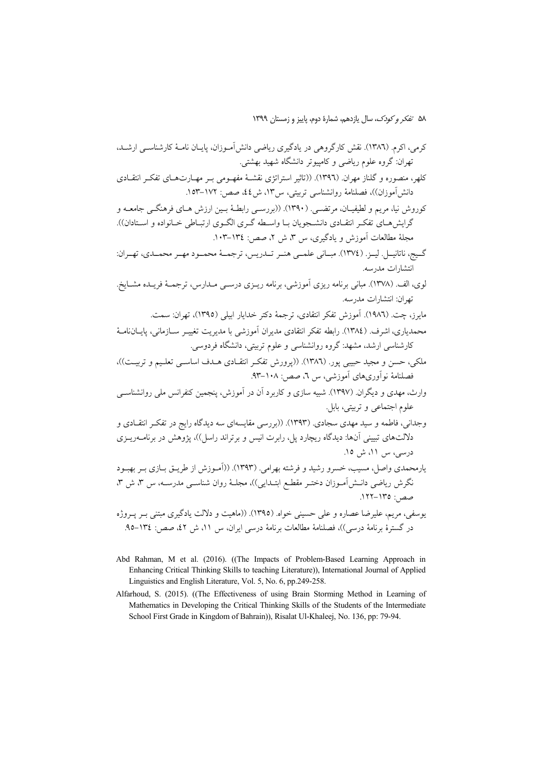کلهر، منصوره و گلناز مهران (١٣٩٦). ((تاثير استراتژي نقشـهٔ مفهـومي بـر مهـارتـهـاي تفکـر انتقــادي دانش[موزان))، فصلنامهٔ روانشناسی تربیتی، س۱۳، ش٤٤، صص: ۱۷۲–۱۵۳.

کوروش نیا، مریم و لطیفیـان، مرتضـی. (۱۳۹۰). ((بررسـی رابطـهٔ بـین ارزش هـای فرهنگـی جامعــه و گرایش هـای تفکـر انتقـادی دانشـجویان بـا واسـطه گـری الگـوی ارتبـاطی خـانواده و اسـتادان)). مجلَّهٔ مطالعات آموزش و بادگیری، س ۳، ش ۲، صص: ۱۳٤–۱۰۳.

- گيج، ناتانيــل. ليــز. (١٣٧٤). مبــاني علمــي هنــر تــدريس، ترجمــهٔ محمــود مهــر محمــدي، تهــران: انتشارات مدرسه.
- .<br>لوی، الف. (۱۳۷۸). مبانی برنامه ریزی آموزشی، برنامه ریــزی درســی مــدارس، ترجمــهٔ فریــده مشــایخ. تهران: انتشارات مدرسه.
	- مايرز، چت. (١٩٨٦). آموزش تفكر انتقادي، ترجمهٔ دكتر خدايار ايبلي (١٣٩٥)، تهران: سمت.
- محمدیاری، اشرف (١٣٨٤). رابطه تفکر انتقادی مدیران آموزشی با مدیریت تغییـر ســازمانی، پایــانiامــهٔ کارشناسی ارشد، مشهد: گروه روانشناسی و علوم تربیتی، دانشگاه فردوسی.
- ملکی، حسن و مجید حبیبی پور. (۱۳۸٦). ((پرورش تفکر انتقـادی هـدف اساســی تعلـیم و تربیـت))، فصلنامهٔ نوأوريهاي أموزشي، س ٦، صص: ١٠٨-٩٣.
- وارث، مهدی و دیگران (۱۳۹۷). شبیه سازی و کاربرد آن در آموزش، پنجمین کنفرانس ملی روانشناسبی علوم اجتماعي و تربيتي، بابل.

وجدانی، فاطمه و سید مهدی سجادی. (۱۳۹۳). ((بررسی مقایسهای سه دیدگاه رایج در تفکـر انتقــادی و دلالتهای تبیینی آنها: دیدگاه ریچارد پل، رابرت انیس و برتراند راسل))، پژوهش در برنامــهریــزی درسی، س ۱۱، ش ۱۵.

یارمحمدی واصل، مسیب، خسرو رشید و فرشته بهرامی. (۱۳۹۳). ((آمـوزش از طریـق بــازی بــر بهبــود نگرش ریاضی دانــش|مــوزان دختــر مقطــع ابتــدایی))، مجلــهٔ روان شناســی مدرســه، س ۳، ش ۳، صص: ١٣٥-١٢٢.

یوسفی، مریم، علیرضا عصاره و علی حسینی خواه. (١٣٩٥). ((ماهیت و دلالت یادگیری مبتنی بـر پــروژه در گسترهٔ برنامهٔ درسی))، فصلنامهٔ مطالعات برنامهٔ درسی ایران، س ۱۱، ش ۲۲، صص: ۱۳٤–۹۵.

- Abd Rahman, M et al. (2016). ((The Impacts of Problem-Based Learning Approach in Enhancing Critical Thinking Skills to teaching Literature)), International Journal of Applied Linguistics and English Literature, Vol. 5, No. 6, pp.249-258.
- Alfarhoud, S. (2015). ((The Effectiveness of using Brain Storming Method in Learning of Mathematics in Developing the Critical Thinking Skills of the Students of the Intermediate School First Grade in Kingdom of Bahrain)), Risalat Ul-Khaleej, No. 136, pp: 79-94.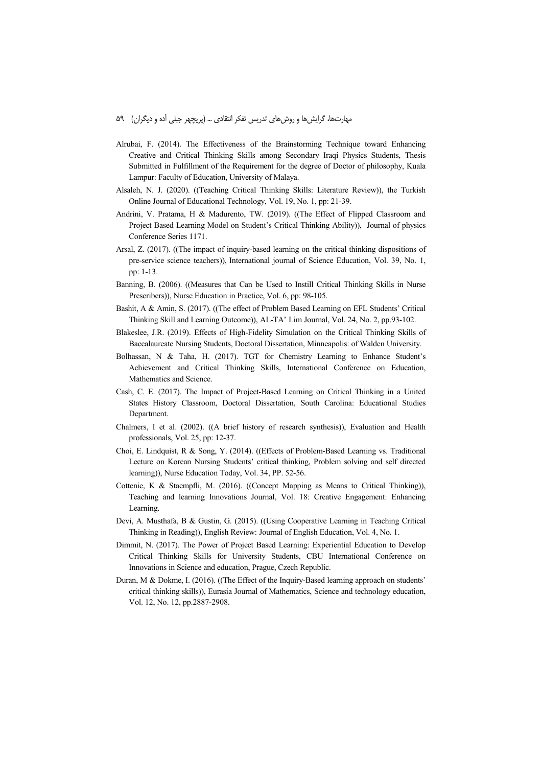- Alrubai, F. (2014). The Effectiveness of the Brainstorming Technique toward Enhancing Creative and Critical Thinking Skills among Secondary Iraqi Physics Students, Thesis Submitted in Fulfillment of the Requirement for the degree of Doctor of philosophy, Kuala Lampur: Faculty of Education, University of Malaya.
- Alsaleh, N. J. (2020). ((Teaching Critical Thinking Skills: Literature Review)), the Turkish Online Journal of Educational Technology, Vol. 19, No. 1, pp: 21-39.
- Andrini, V. Pratama, H & Madurento, TW. (2019). ((The Effect of Flipped Classroom and Project Based Learning Model on Student's Critical Thinking Ability)), Journal of physics Conference Series 1171.
- Arsal, Z. (2017). ((The impact of inquiry-based learning on the critical thinking dispositions of pre-service science teachers)), International journal of Science Education, Vol. 39, No. 1, pp: 1-13.
- Banning, B. (2006). ((Measures that Can be Used to Instill Critical Thinking Skills in Nurse Prescribers)), Nurse Education in Practice, Vol. 6, pp: 98-105.
- Bashit, A & Amin, S. (2017). ((The effect of Problem Based Learning on EFL Students' Critical Thinking Skill and Learning Outcome)), AL-TA' Lim Journal, Vol. 24, No. 2, pp.93-102.
- Blakeslee, J.R. (2019). Effects of High-Fidelity Simulation on the Critical Thinking Skills of Baccalaureate Nursing Students, Doctoral Dissertation, Minneapolis: of Walden University.
- Bolhassan, N & Taha, H. (2017). TGT for Chemistry Learning to Enhance Student's Achievement and Critical Thinking Skills, International Conference on Education, Mathematics and Science.
- Cash, C. E. (2017). The Impact of Project-Based Learning on Critical Thinking in a United States History Classroom, Doctoral Dissertation, South Carolina: Educational Studies Department.
- Chalmers, I et al. (2002). ((A brief history of research synthesis)), Evaluation and Health professionals, Vol. 25, pp: 12-37.
- Choi, E. Lindquist, R & Song, Y. (2014). ((Effects of Problem-Based Learning vs. Traditional Lecture on Korean Nursing Students' critical thinking, Problem solving and self directed learning)), Nurse Education Today, Vol. 34, PP. 52-56.
- Cottenie, K & Staempfli, M. (2016). ((Concept Mapping as Means to Critical Thinking)), Teaching and learning Innovations Journal, Vol. 18: Creative Engagement: Enhancing Learning.
- Devi, A. Musthafa, B & Gustin, G. (2015). ((Using Cooperative Learning in Teaching Critical Thinking in Reading)), English Review: Journal of English Education, Vol. 4, No. 1.
- Dimmit, N. (2017). The Power of Project Based Learning: Experiential Education to Develop Critical Thinking Skills for University Students, CBU International Conference on Innovations in Science and education, Prague, Czech Republic.
- Duran, M & Dokme, I. (2016). ((The Effect of the Inquiry-Based learning approach on students' critical thinking skills)), Eurasia Journal of Mathematics, Science and technology education, Vol. 12, No. 12, pp.2887-2908.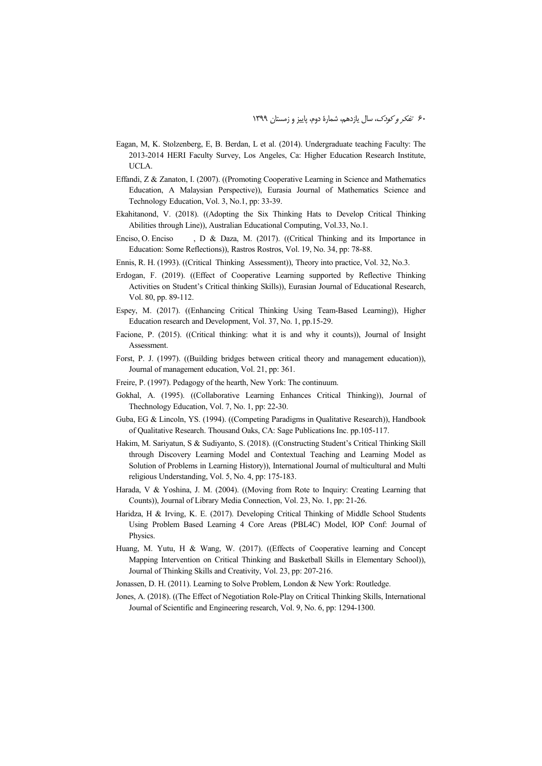- Eagan, M, K. Stolzenberg, E, B. Berdan, L et al. (2014). Undergraduate teaching Faculty: The 2013-2014 HERI Faculty Survey, Los Angeles, Ca: Higher Education Research Institute, UCLA.
- Effandi, Z & Zanaton, I. (2007). ((Promoting Cooperative Learning in Science and Mathematics Education, A Malaysian Perspective)), Eurasia Journal of Mathematics Science and Technology Education, Vol. 3, No.1, pp: 33-39.
- Ekahitanond, V. (2018). ((Adopting the Six Thinking Hats to Develop Critical Thinking Abilities through Line)), Australian Educational Computing, Vol.33, No.1.
- Enciso, O. Enciso , D & Daza, M. (2017). ((Critical Thinking and its Importance in Education: Some Reflections)), Rastros Rostros, Vol. 19, No. 34, pp: 78-88.
- Ennis, R. H. (1993). ((Critical Thinking Assessment)), Theory into practice, Vol. 32, No.3.
- Erdogan, F. (2019). ((Effect of Cooperative Learning supported by Reflective Thinking Activities on Student's Critical thinking Skills)), Eurasian Journal of Educational Research, Vol. 80, pp. 89-112.
- Espey, M. (2017). ((Enhancing Critical Thinking Using Team-Based Learning)), Higher Education research and Development, Vol. 37, No. 1, pp.15-29.
- Facione, P. (2015). ((Critical thinking: what it is and why it counts)), Journal of Insight **Assessment**
- Forst, P. J. (1997). ((Building bridges between critical theory and management education)), Journal of management education, Vol. 21, pp: 361.
- Freire, P. (1997). Pedagogy of the hearth, New York: The continuum.
- Gokhal, A. (1995). ((Collaborative Learning Enhances Critical Thinking)), Journal of Thechnology Education, Vol. 7, No. 1, pp: 22-30.
- Guba, EG & Lincoln, YS. (1994). ((Competing Paradigms in Qualitative Research)), Handbook of Qualitative Research. Thousand Oaks, CA: Sage Publications Inc. pp.105-117.
- Hakim, M. Sariyatun, S & Sudiyanto, S. (2018). ((Constructing Student's Critical Thinking Skill through Discovery Learning Model and Contextual Teaching and Learning Model as Solution of Problems in Learning History)), International Journal of multicultural and Multi religious Understanding, Vol. 5, No. 4, pp: 175-183.
- Harada, V & Yoshina, J. M. (2004). ((Moving from Rote to Inquiry: Creating Learning that Counts)), Journal of Library Media Connection, Vol. 23, No. 1, pp: 21-26.
- Haridza, H & Irving, K. E. (2017). Developing Critical Thinking of Middle School Students Using Problem Based Learning 4 Core Areas (PBL4C) Model, IOP Conf: Journal of Physics.
- Huang, M. Yutu, H & Wang, W. (2017). ((Effects of Cooperative learning and Concept Mapping Intervention on Critical Thinking and Basketball Skills in Elementary School)), Journal of Thinking Skills and Creativity, Vol. 23, pp: 207-216.
- Jonassen, D. H. (2011). Learning to Solve Problem, London & New York: Routledge.
- Jones, A. (2018). ((The Effect of Negotiation Role-Play on Critical Thinking Skills, International Journal of Scientific and Engineering research, Vol. 9, No. 6, pp: 1294-1300.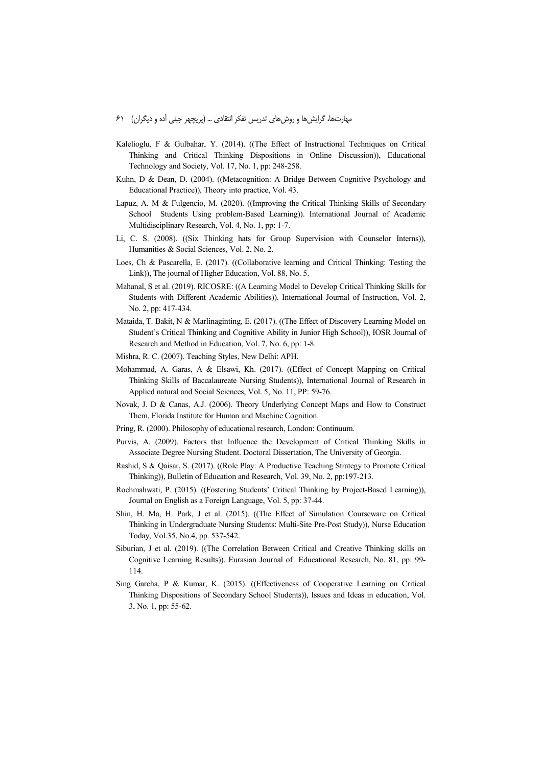- Kalelioglu, F & Gulbahar, Y. (2014). ((The Effect of Instructional Techniques on Critical Thinking and Critical Thinking Dispositions in Online Discussion)), Educational Technology and Society, Vol. 17, No. 1, pp: 248-258.
- Kuhn, D & Dean, D. (2004). ((Metacognition: A Bridge Between Cognitive Psychology and Educational Practice)), Theory into practice, Vol. 43.
- Lapuz, A. M & Fulgencio, M. (2020). ((Improving the Critical Thinking Skills of Secondary School Students Using problem-Based Learning)). International Journal of Academic Multidisciplinary Research, Vol. 4, No. 1, pp: 1-7.
- Li, C. S. (2008). ((Six Thinking hats for Group Supervision with Counselor Interns)), Humanities & Social Sciences, Vol. 2, No. 2.
- Loes, Ch & Pascarella, E. (2017). ((Collaborative learning and Critical Thinking: Testing the Link)), The journal of Higher Education, Vol. 88, No. 5.
- Mahanal, S et al. (2019). RICOSRE: ((A Learning Model to Develop Critical Thinking Skills for Students with Different Academic Abilities)). International Journal of Instruction, Vol. 2, No. 2, pp: 417-434.
- Mataida, T. Bakit, N & Marlinaginting, E. (2017). ((The Effect of Discovery Learning Model on Student's Critical Thinking and Cognitive Ability in Junior High School)), IOSR Journal of Research and Method in Education, Vol. 7, No. 6, pp: 1-8.
- Mishra, R. C. (2007). Teaching Styles, New Delhi: APH.
- Mohammad, A. Garas, A & Elsawi, Kh. (2017). ((Effect of Concept Mapping on Critical Thinking Skills of Baccalaureate Nursing Students)), International Journal of Research in Applied natural and Social Sciences, Vol. 5, No. 11, PP: 59-76.
- Novak, J. D & Canas, A.J. (2006). Theory Underlying Concept Maps and How to Construct Them, Florida Institute for Human and Machine Cognition.
- Pring, R. (2000). Philosophy of educational research, London: Continuum.
- Purvis, A. (2009). Factors that Influence the Development of Critical Thinking Skills in Associate Degree Nursing Student. Doctoral Dissertation, The University of Georgia.
- Rashid, S & Qaisar, S. (2017). ((Role Play: A Productive Teaching Strategy to Promote Critical Thinking)), Bulletin of Education and Research, Vol. 39, No. 2, pp:197-213.
- Rochmahwati, P. (2015). ((Fostering Students' Critical Thinking by Project-Based Learning)), Journal on English as a Foreign Language, Vol. 5, pp: 37-44.
- Shin, H. Ma, H. Park, J et al. (2015). ((The Effect of Simulation Courseware on Critical Thinking in Undergraduate Nursing Students: Multi-Site Pre-Post Study)), Nurse Education Today, Vol.35, No.4, pp. 537-542.
- Siburian, J et al. (2019). ((The Correlation Between Critical and Creative Thinking skills on Cognitive Learning Results)). Eurasian Journal of Educational Research, No. 81, pp: 99- 114.
- Sing Garcha, P & Kumar, K. (2015). ((Effectiveness of Cooperative Learning on Critical Thinking Dispositions of Secondary School Students)), Issues and Ideas in education, Vol. 3, No. 1, pp: 55-62.